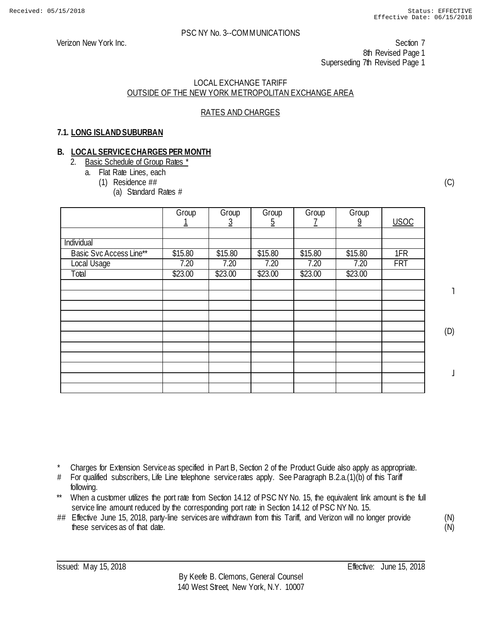#### LOCAL EXCHANGE TARIFF OUTSIDE OF THE NEW YORK METROPOLITAN EXCHANGE AREA

## RATES AND CHARGES

## **7.1. LONG ISLAND SUBURBAN**

#### **B. LOCAL SERVICE CHARGES PER MONTH**

- 2. Basic Schedule of Group Rates \*
	- a. Flat Rate Lines, each
		- (1) Residence ##
			- (a) Standard Rates #

|                         | Group   | Group<br>3 | Group<br><u>5</u> | Group   | Group<br>$\overline{9}$ | <b>USOC</b> |
|-------------------------|---------|------------|-------------------|---------|-------------------------|-------------|
|                         |         |            |                   |         |                         |             |
| Individual              |         |            |                   |         |                         |             |
| Basic Svc Access Line** | \$15.80 | \$15.80    | \$15.80           | \$15.80 | \$15.80                 | 1FR         |
| Local Usage             | 7.20    | 7.20       | 7.20              | 7.20    | 7.20                    | <b>FRT</b>  |
| Total                   | \$23.00 | \$23.00    | \$23.00           | \$23.00 | \$23.00                 |             |
|                         |         |            |                   |         |                         |             |
|                         |         |            |                   |         |                         |             |
|                         |         |            |                   |         |                         |             |
|                         |         |            |                   |         |                         |             |
|                         |         |            |                   |         |                         |             |
|                         |         |            |                   |         |                         |             |
|                         |         |            |                   |         |                         |             |
|                         |         |            |                   |         |                         |             |
|                         |         |            |                   |         |                         |             |
|                         |         |            |                   |         |                         |             |
|                         |         |            |                   |         |                         |             |

(C)

˥

(D)

 $\perp$ 

Charges for Extension Service as specified in Part B, Section 2 of the Product Guide also apply as appropriate.

- # For qualified subscribers, Life Line telephone service rates apply. See Paragraph B.2.a.(1)(b) of this Tariff following.
- \*\* When a customer utilizes the port rate from Section 14.12 of PSC NY No. 15, the equivalent link amount is the full service line amount reduced by the corresponding port rate in Section 14.12 of PSC NY No. 15.
- ## Effective June 15, 2018, party-line services are withdrawn from this Tariff, and Verizon will no longer provide these services as of that date.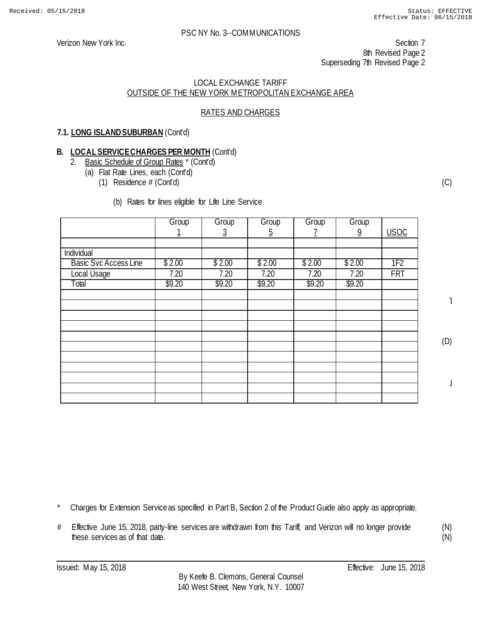Verizon New York Inc. Section 7 8th Revised Page 2 Superseding 7th Revised Page 2

#### LOCAL EXCHANGE TARIFF OUTSIDE OF THE NEW YORK METROPOLITAN EXCHANGE AREA

## RATES AND CHARGES

## **7.1. LONG ISLAND SUBURBAN** (Cont'd)

# **B. LOCAL SERVICE CHARGES PER MONTH** (Cont'd)<br>2 Basic Schedule of Group Rates \* (Cont'd)

- Basic Schedule of Group Rates \* (Cont'd)
	- (a) Flat Rate Lines, each (Cont'd)
		- (1) Residence # (Cont'd)

#### (b) Rates for lines eligible for Life Line Service

|                              | Group  | Group  | Group    | Group  | Group          |                 |
|------------------------------|--------|--------|----------|--------|----------------|-----------------|
|                              |        | 3      | <u>5</u> |        | $\overline{9}$ | <b>USOC</b>     |
|                              |        |        |          |        |                |                 |
| Individual                   |        |        |          |        |                |                 |
| <b>Basic Svc Access Line</b> | \$2.00 | \$2.00 | \$2.00   | \$2.00 | \$2.00         | 1F <sub>2</sub> |
| Local Usage                  | 7.20   | 7.20   | 7.20     | 7.20   | 7.20           | <b>FRT</b>      |
| Total                        | \$9.20 | \$9.20 | \$9.20   | \$9.20 | \$9.20         |                 |
|                              |        |        |          |        |                |                 |
|                              |        |        |          |        |                |                 |
|                              |        |        |          |        |                |                 |
|                              |        |        |          |        |                |                 |
|                              |        |        |          |        |                |                 |
|                              |        |        |          |        |                |                 |
|                              |        |        |          |        |                |                 |
|                              |        |        |          |        |                |                 |
|                              |        |        |          |        |                |                 |
|                              |        |        |          |        |                |                 |
|                              |        |        |          |        |                |                 |

(C)

˥

(D)

 $\overline{1}$ 

(N) (N)

Charges for Extension Service as specified in Part B, Section 2 of the Product Guide also apply as appropriate.

# Effective June 15, 2018, party-line services are withdrawn from this Tariff, and Verizon will no longer provide these services as of that date.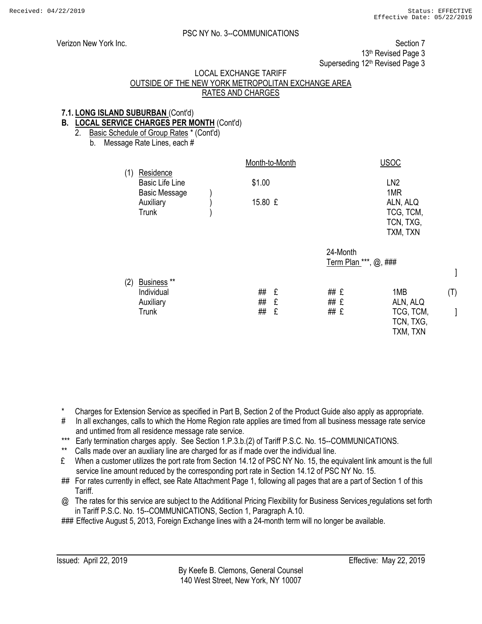$\mathbf{I}$ 

(T)

]

## PSC NY No. 3--COMMUNICATIONS

Verizon New York Inc. Section 7 13<sup>th</sup> Revised Page 3 Superseding 12<sup>th</sup> Revised Page 3

#### LOCAL EXCHANGE TARIFF

## OUTSIDE OF THE NEW YORK METROPOLITAN EXCHANGE AREA RATES AND CHARGES

#### **7.1. LONG ISLAND SUBURBAN** (Cont'd)

## **B. LOCAL SERVICE CHARGES PER MONTH** (Cont'd)

2. Basic Schedule of Group Rates \* (Cont'd)

b. Message Rate Lines, each #

|     |                                                             | Month-to-Month |             |                                   | <b>USOC</b>                                           |
|-----|-------------------------------------------------------------|----------------|-------------|-----------------------------------|-------------------------------------------------------|
| (1) | Residence<br><b>Basic Life Line</b><br><b>Basic Message</b> | \$1.00         |             |                                   | LN <sub>2</sub><br>1MR                                |
|     | Auxiliary<br><b>Trunk</b>                                   | 15.80 £        |             |                                   | ALN, ALQ<br>TCG, TCM,<br>TCN, TXG,<br>TXM, TXN        |
|     |                                                             |                |             | 24-Month<br>Term Plan ***, @, ### |                                                       |
| (2) | Business **<br>Individual<br>Auxiliary<br><b>Trunk</b>      | ##<br>##<br>## | £<br>£<br>£ | ## £<br>## £<br>## £              | 1MB<br>ALN, ALQ<br>TCG, TCM,<br>TCN, TXG,<br>TXM, TXN |

\* Charges for Extension Service as specified in Part B, Section 2 of the Product Guide also apply as appropriate.

- # In all exchanges, calls to which the Home Region rate applies are timed from all business message rate service and untimed from all residence message rate service.
- \*\*\* Early termination charges apply. See Section 1.P.3.b.(2) of Tariff P.S.C. No. 15--COMMUNICATIONS.
- \*\* Calls made over an auxiliary line are charged for as if made over the individual line.
- £ When a customer utilizes the port rate from Section 14.12 of PSC NY No. 15, the equivalent link amount is the full service line amount reduced by the corresponding port rate in Section 14.12 of PSC NY No. 15.
- ## For rates currently in effect, see Rate Attachment Page 1, following all pages that are a part of Section 1 of this Tariff.
- @ The rates for this service are subject to the Additional Pricing Flexibility for Business Services regulations set forth in Tariff P.S.C. No. 15--COMMUNICATIONS, Section 1, Paragraph A.10.

### Effective August 5, 2013, Foreign Exchange lines with a 24-month term will no longer be available.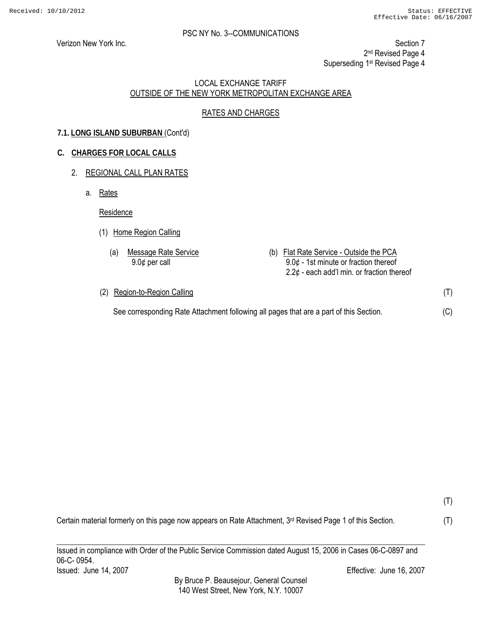Verizon New York Inc. **Section 7** New York Inc. 2<sup>nd</sup> Revised Page 4 Superseding 1st Revised Page 4

#### LOCAL EXCHANGE TARIFF OUTSIDE OF THE NEW YORK METROPOLITAN EXCHANGE AREA

## RATES AND CHARGES

## **7.1. LONG ISLAND SUBURBAN** (Cont'd)

#### **C. CHARGES FOR LOCAL CALLS**

#### 2. REGIONAL CALL PLAN RATES

a. Rates

Residence

- (1) Home Region Calling
	- (a) Message Rate Service (b) Flat Rate Service Outside the PCA 9.0¢ per call 9.0¢ - 1st minute or fraction thereof  $2.2¢$  - each add'l min. or fraction thereof
- (2) Region-to-Region Calling

See corresponding Rate Attachment following all pages that are a part of this Section.

Certain material formerly on this page now appears on Rate Attachment, 3<sup>rd</sup> Revised Page 1 of this Section.

Issued in compliance with Order of the Public Service Commission dated August 15, 2006 in Cases 06-C-0897 and 06-C- 0954. Issued: June 14, 2007 Effective: June 16, 2007

By Bruce P. Beausejour, General Counsel 140 West Street, New York, N.Y. 10007

(T) (C)

(T)

(T)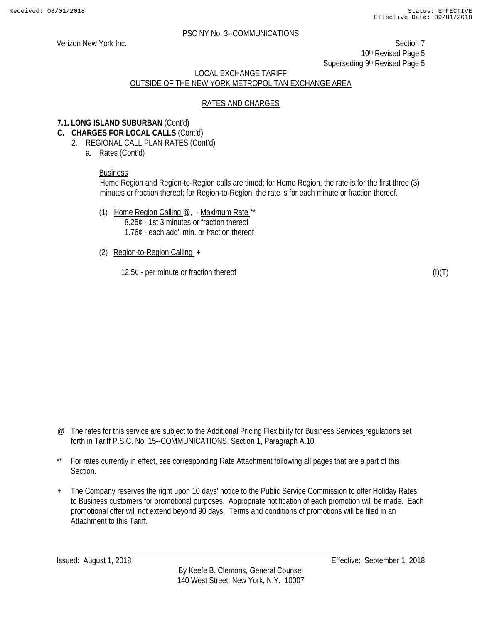Verizon New York Inc. Section 7 10th Revised Page 5 Superseding 9th Revised Page 5

## LOCAL EXCHANGE TARIFF OUTSIDE OF THE NEW YORK METROPOLITAN EXCHANGE AREA

#### RATES AND CHARGES

#### **7.1. LONG ISLAND SUBURBAN** (Cont'd)

- **C. CHARGES FOR LOCAL CALLS** (Cont'd)
	- 2. REGIONAL CALL PLAN RATES (Cont'd)
		- a. Rates (Cont'd)

#### Business

Home Region and Region-to-Region calls are timed; for Home Region, the rate is for the first three (3) minutes or fraction thereof; for Region-to-Region, the rate is for each minute or fraction thereof.

- (1) Home Region Calling  $@$ , Maximum Rate \*\* 8.25¢ - 1st 3 minutes or fraction thereof 1.76¢ - each add'l min. or fraction thereof
- (2) Region-to-Region Calling +

12.5¢ - per minute or fraction thereof

 $(I)(T)$ 

- @ The rates for this service are subject to the Additional Pricing Flexibility for Business Services regulations set forth in Tariff P.S.C. No. 15--COMMUNICATIONS, Section 1, Paragraph A.10.
- \*\* For rates currently in effect, see corresponding Rate Attachment following all pages that are a part of this Section.
- + The Company reserves the right upon 10 days' notice to the Public Service Commission to offer Holiday Rates to Business customers for promotional purposes. Appropriate notification of each promotion will be made. Each promotional offer will not extend beyond 90 days. Terms and conditions of promotions will be filed in an Attachment to this Tariff.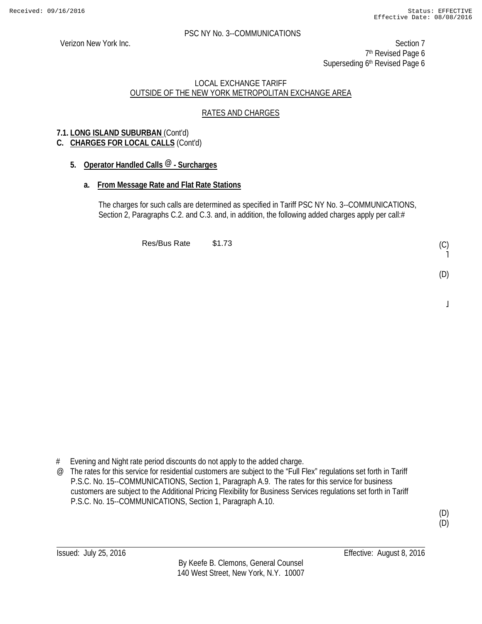Verizon New York Inc. Section 7 7<sup>th</sup> Revised Page 6 Superseding 6<sup>th</sup> Revised Page 6

#### LOCAL EXCHANGE TARIFF OUTSIDE OF THE NEW YORK METROPOLITAN EXCHANGE AREA

## RATES AND CHARGES

## **7.1. LONG ISLAND SUBURBAN** (Cont'd)

## **C. CHARGES FOR LOCAL CALLS** (Cont'd)

## **5. Operator Handled Calls @ - Surcharges**

## **a. From Message Rate and Flat Rate Stations**

The charges for such calls are determined as specified in Tariff PSC NY No. 3--COMMUNICATIONS, Section 2, Paragraphs C.2. and C.3. and, in addition, the following added charges apply per call:#

Res/Bus Rate \$1.73

# Evening and Night rate period discounts do not apply to the added charge.

@ The rates for this service for residential customers are subject to the "Full Flex" regulations set forth in Tariff P.S.C. No. 15--COMMUNICATIONS, Section 1, Paragraph A.9. The rates for this service for business customers are subject to the Additional Pricing Flexibility for Business Services regulations set forth in Tariff P.S.C. No. 15--COMMUNICATIONS, Section 1, Paragraph A.10.

(D) (D)

(C) ˥

(D)

 $\overline{a}$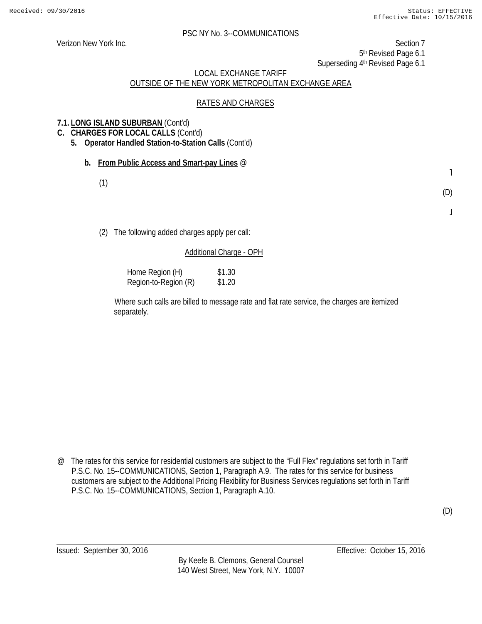Verizon New York Inc. Section 7 5<sup>th</sup> Revised Page 6.1

Superseding 4<sup>th</sup> Revised Page 6.1

## LOCAL EXCHANGE TARIFF OUTSIDE OF THE NEW YORK METROPOLITAN EXCHANGE AREA

#### RATES AND CHARGES

## **7.1. LONG ISLAND SUBURBAN** (Cont'd)

- **C. CHARGES FOR LOCAL CALLS** (Cont'd)
	- **5. Operator Handled Station-to-Station Calls** (Cont'd)
		- **b. From Public Access and Smart-pay Lines** @
			- (1)

˥ (D)

 $\bf{l}$ 

(D)

(2) The following added charges apply per call:

#### Additional Charge - OPH

| Home Region (H)      | \$1.30 |
|----------------------|--------|
| Region-to-Region (R) | \$1.20 |

Where such calls are billed to message rate and flat rate service, the charges are itemized separately.

@ The rates for this service for residential customers are subject to the "Full Flex" regulations set forth in Tariff P.S.C. No. 15--COMMUNICATIONS, Section 1, Paragraph A.9. The rates for this service for business customers are subject to the Additional Pricing Flexibility for Business Services regulations set forth in Tariff P.S.C. No. 15--COMMUNICATIONS, Section 1, Paragraph A.10.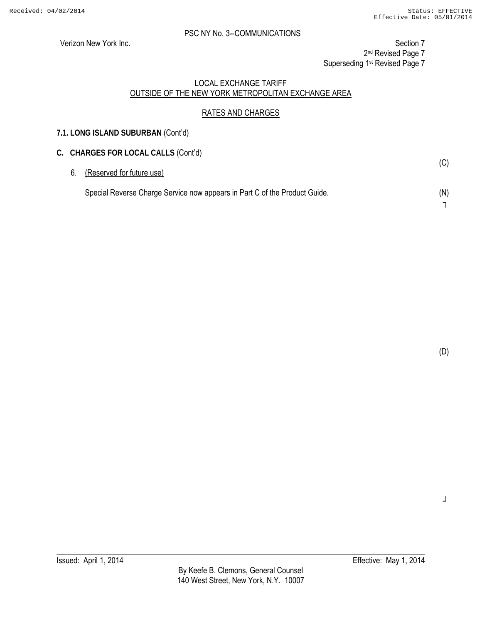**7.1. LONG ISLAND SUBURBAN** (Cont'd)

Verizon New York Inc. Section 7 2<sup>nd</sup> Revised Page 7 Superseding 1<sup>st</sup> Revised Page 7

#### LOCAL EXCHANGE TARIFF OUTSIDE OF THE NEW YORK METROPOLITAN EXCHANGE AREA

## RATES AND CHARGES

|    | C. CHARGES FOR LOCAL CALLS (Cont'd)                                        |     |
|----|----------------------------------------------------------------------------|-----|
| 6. | (Reserved for future use)                                                  | (C) |
|    | Special Reverse Charge Service now appears in Part C of the Product Guide. | (N) |
|    |                                                                            |     |

(D)

┘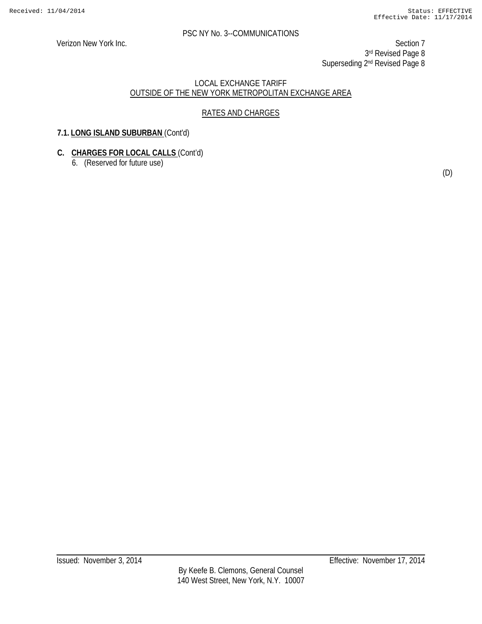Verizon New York Inc. Section 7 3rd Revised Page 8 Superseding 2<sup>nd</sup> Revised Page 8

## LOCAL EXCHANGE TARIFF OUTSIDE OF THE NEW YORK METROPOLITAN EXCHANGE AREA

## RATES AND CHARGES

## **7.1. LONG ISLAND SUBURBAN** (Cont'd)

## **C. CHARGES FOR LOCAL CALLS** (Cont'd)

6. (Reserved for future use)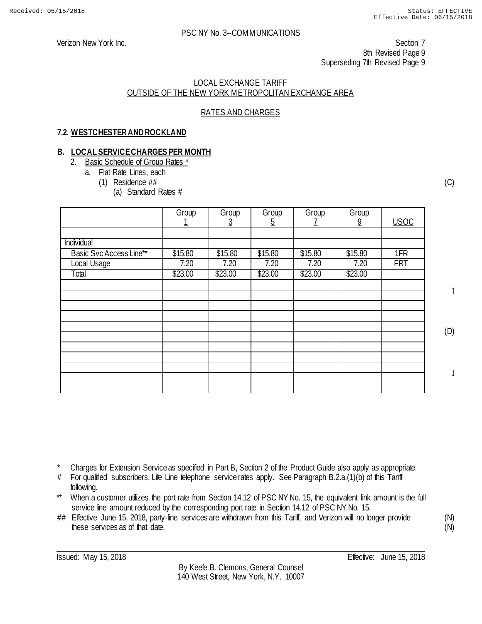#### LOCAL EXCHANGE TARIFF OUTSIDE OF THE NEW YORK METROPOLITAN EXCHANGE AREA

## RATES AND CHARGES

## **7.2. WESTCHESTER AND ROCKLAND**

## **B. LOCAL SERVICE CHARGES PER MONTH**

- 2. Basic Schedule of Group Rates \*
	- a. Flat Rate Lines, each
		- (1) Residence ##
			- (a) Standard Rates #

|                         | Group   | Group<br>3 | Group<br><u>5</u> | Group   | Group<br>$\overline{9}$ | <b>USOC</b> |
|-------------------------|---------|------------|-------------------|---------|-------------------------|-------------|
|                         |         |            |                   |         |                         |             |
| Individual              |         |            |                   |         |                         |             |
| Basic Svc Access Line** | \$15.80 | \$15.80    | \$15.80           | \$15.80 | \$15.80                 | 1FR         |
| Local Usage             | 7.20    | 7.20       | 7.20              | 7.20    | 7.20                    | <b>FRT</b>  |
| Total                   | \$23.00 | \$23.00    | \$23.00           | \$23.00 | \$23.00                 |             |
|                         |         |            |                   |         |                         |             |
|                         |         |            |                   |         |                         |             |
|                         |         |            |                   |         |                         |             |
|                         |         |            |                   |         |                         |             |
|                         |         |            |                   |         |                         |             |
|                         |         |            |                   |         |                         |             |
|                         |         |            |                   |         |                         |             |
|                         |         |            |                   |         |                         |             |
|                         |         |            |                   |         |                         |             |
|                         |         |            |                   |         |                         |             |
|                         |         |            |                   |         |                         |             |

(C)

˥

(D)

 $\perp$ 

Charges for Extension Service as specified in Part B, Section 2 of the Product Guide also apply as appropriate.

- # For qualified subscribers, Life Line telephone service rates apply. See Paragraph B.2.a.(1)(b) of this Tariff following.
- \*\* When a customer utilizes the port rate from Section 14.12 of PSC NY No. 15, the equivalent link amount is the full service line amount reduced by the corresponding port rate in Section 14.12 of PSC NY No. 15.
- ## Effective June 15, 2018, party-line services are withdrawn from this Tariff, and Verizon will no longer provide these services as of that date.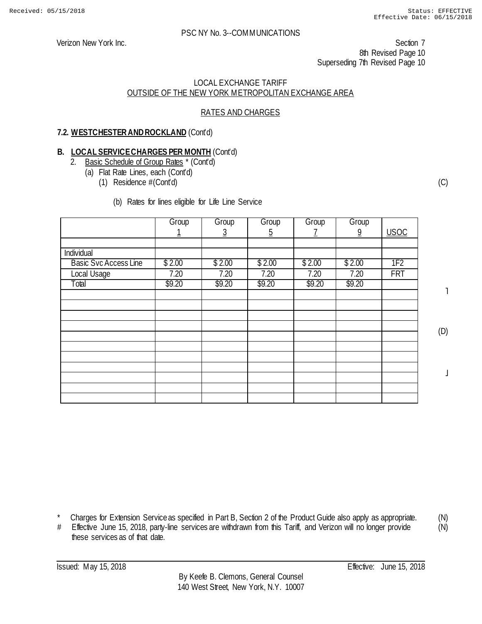Verizon New York Inc. Section 7 8th Revised Page 10 Superseding 7th Revised Page 10

#### LOCAL EXCHANGE TARIFF OUTSIDE OF THE NEW YORK METROPOLITAN EXCHANGE AREA

## RATES AND CHARGES

## **7.2. WESTCHESTER AND ROCKLAND** (Cont'd)

# **B. LOCAL SERVICE CHARGES PER MONTH** (Cont'd)<br>**2.** Basic Schedule of Group Rates \* (Cont'd)

- Basic Schedule of Group Rates \* (Cont'd)
	- (a) Flat Rate Lines, each (Cont'd)
		- (1) Residence #(Cont'd)
			- (b) Rates for lines eligible for Life Line Service

|                              | Group  | Group    | Group    | Group  | Group          |                 |
|------------------------------|--------|----------|----------|--------|----------------|-----------------|
|                              |        | <u>3</u> | <u>5</u> |        | $\overline{9}$ | <b>USOC</b>     |
|                              |        |          |          |        |                |                 |
| Individual                   |        |          |          |        |                |                 |
| <b>Basic Svc Access Line</b> | \$2.00 | \$2.00   | \$2.00   | \$2.00 | \$2.00         | 1F <sub>2</sub> |
| Local Usage                  | 7.20   | 7.20     | 7.20     | 7.20   | 7.20           | <b>FRT</b>      |
| Total                        | \$9.20 | \$9.20   | \$9.20   | \$9.20 | \$9.20         |                 |
|                              |        |          |          |        |                |                 |
|                              |        |          |          |        |                |                 |
|                              |        |          |          |        |                |                 |
|                              |        |          |          |        |                |                 |
|                              |        |          |          |        |                |                 |
|                              |        |          |          |        |                |                 |
|                              |        |          |          |        |                |                 |
|                              |        |          |          |        |                |                 |
|                              |        |          |          |        |                |                 |
|                              |        |          |          |        |                |                 |
|                              |        |          |          |        |                |                 |

(C)

˥

(D)

 $\perp$ 

- \* Charges for Extension Service as specified in Part B, Section 2 of the Product Guide also apply as appropriate.
- # Effective June 15, 2018, party-line services are withdrawn from this Tariff, and Verizon will no longer provide these services as of that date.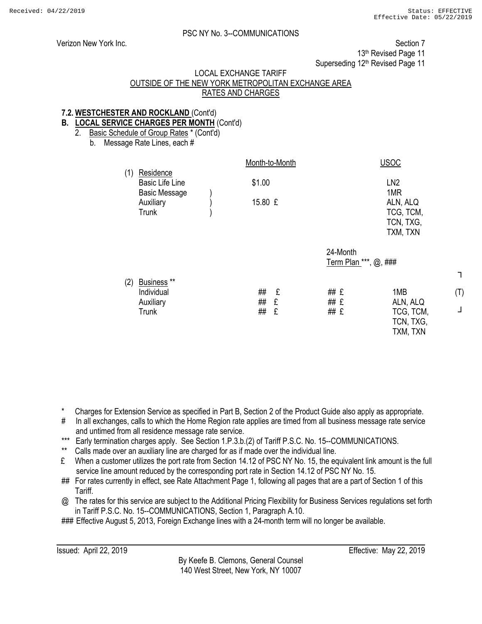┐

(T)

┘

#### PSC NY No. 3--COMMUNICATIONS

Verizon New York Inc. Section 7

13<sup>th</sup> Revised Page 11

Superseding 12<sup>th</sup> Revised Page 11

#### LOCAL EXCHANGE TARIFF

## OUTSIDE OF THE NEW YORK METROPOLITAN EXCHANGE AREA RATES AND CHARGES

#### **7.2. WESTCHESTER AND ROCKLAND** (Cont'd)

#### **B. LOCAL SERVICE CHARGES PER MONTH** (Cont'd)

2. Basic Schedule of Group Rates \* (Cont'd)

b. Message Rate Lines, each #

|     |                                                                   | Month-to-Month                |                                   | <b>USOC</b>                                           |
|-----|-------------------------------------------------------------------|-------------------------------|-----------------------------------|-------------------------------------------------------|
| (1) | Residence<br><b>Basic Life Line</b><br><b>Basic Message</b>       | \$1.00                        |                                   | LN <sub>2</sub><br>1MR                                |
|     | Auxiliary<br><b>Trunk</b>                                         | 15.80 £                       |                                   | ALN, ALQ<br>TCG, TCM,                                 |
|     |                                                                   |                               |                                   | TCN, TXG,<br>TXM, TXN                                 |
|     |                                                                   |                               | 24-Month<br>Term Plan ***, @, ### |                                                       |
| (2) | Business <sup>**</sup><br>Individual<br>Auxiliary<br><b>Trunk</b> | ##<br>£<br>##<br>£<br>##<br>£ | ## £<br>## £<br>## £              | 1MB<br>ALN, ALQ<br>TCG, TCM,<br>TCN, TXG,<br>TXM, TXN |

\* Charges for Extension Service as specified in Part B, Section 2 of the Product Guide also apply as appropriate.

- # In all exchanges, calls to which the Home Region rate applies are timed from all business message rate service and untimed from all residence message rate service.
- \*\*\* Early termination charges apply. See Section 1.P.3.b.(2) of Tariff P.S.C. No. 15--COMMUNICATIONS.
- \*\* Calls made over an auxiliary line are charged for as if made over the individual line.
- £ When a customer utilizes the port rate from Section 14.12 of PSC NY No. 15, the equivalent link amount is the full service line amount reduced by the corresponding port rate in Section 14.12 of PSC NY No. 15.
- ## For rates currently in effect, see Rate Attachment Page 1, following all pages that are a part of Section 1 of this Tariff.
- @ The rates for this service are subject to the Additional Pricing Flexibility for Business Services regulations set forth in Tariff P.S.C. No. 15--COMMUNICATIONS, Section 1, Paragraph A.10.

### Effective August 5, 2013, Foreign Exchange lines with a 24-month term will no longer be available.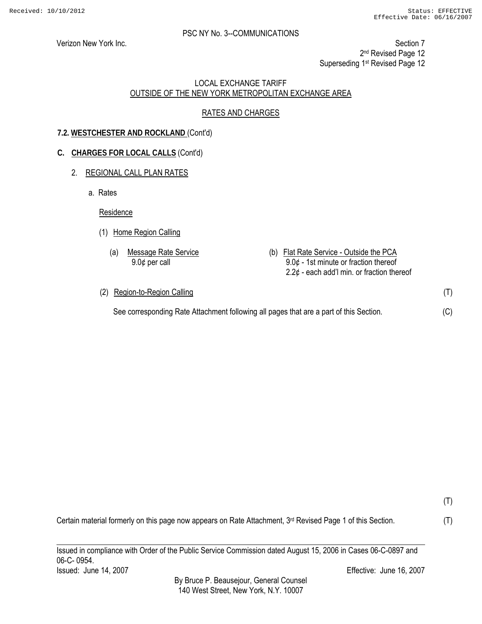(T)

(C)

(T)

(T)

#### PSC NY No. 3--COMMUNICATIONS

Verizon New York Inc. Section 7

2<sup>nd</sup> Revised Page 12

Superseding 1<sup>st</sup> Revised Page 12

#### LOCAL EXCHANGE TARIFF OUTSIDE OF THE NEW YORK METROPOLITAN EXCHANGE AREA

## RATES AND CHARGES

## **7.2. WESTCHESTER AND ROCKLAND** (Cont'd)

## **C. CHARGES FOR LOCAL CALLS** (Cont'd)

## 2. REGIONAL CALL PLAN RATES

a. Rates

Residence

- (1) Home Region Calling
	- (a) Message Rate Service (b) Flat Rate Service Outside the PCA 9.0¢ per call 9.0¢ - 1st minute or fraction thereof  $2.2¢$  - each add'l min. or fraction thereof
- (2) Region-to-Region Calling See corresponding Rate Attachment following all pages that are a part of this Section.

Certain material formerly on this page now appears on Rate Attachment, 3<sup>rd</sup> Revised Page 1 of this Section.

Issued in compliance with Order of the Public Service Commission dated August 15, 2006 in Cases 06-C-0897 and

06-C- 0954.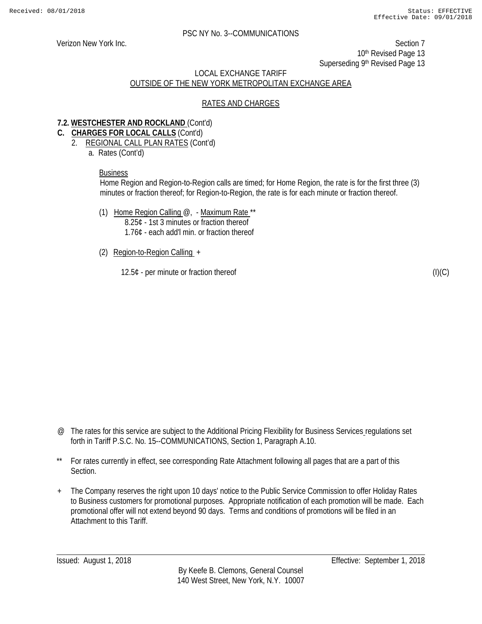Verizon New York Inc. Section 7 10<sup>th</sup> Revised Page 13 Superseding 9th Revised Page 13

## LOCAL EXCHANGE TARIFF OUTSIDE OF THE NEW YORK METROPOLITAN EXCHANGE AREA

## RATES AND CHARGES

#### **7.2. WESTCHESTER AND ROCKLAND** (Cont'd)

- **C. CHARGES FOR LOCAL CALLS** (Cont'd)
	- 2. REGIONAL CALL PLAN RATES (Cont'd)
		- a. Rates (Cont'd)

#### Business

Home Region and Region-to-Region calls are timed; for Home Region, the rate is for the first three (3) minutes or fraction thereof; for Region-to-Region, the rate is for each minute or fraction thereof.

- (1) Home Region Calling  $@$ , Maximum Rate \*\* 8.25¢ - 1st 3 minutes or fraction thereof 1.76¢ - each add'l min. or fraction thereof
- (2) Region-to-Region Calling +

12.5¢ - per minute or fraction thereof

 $(I)(C)$ 

- @ The rates for this service are subject to the Additional Pricing Flexibility for Business Services regulations set forth in Tariff P.S.C. No. 15--COMMUNICATIONS, Section 1, Paragraph A.10.
- \*\* For rates currently in effect, see corresponding Rate Attachment following all pages that are a part of this Section.
- + The Company reserves the right upon 10 days' notice to the Public Service Commission to offer Holiday Rates to Business customers for promotional purposes. Appropriate notification of each promotion will be made. Each promotional offer will not extend beyond 90 days. Terms and conditions of promotions will be filed in an Attachment to this Tariff.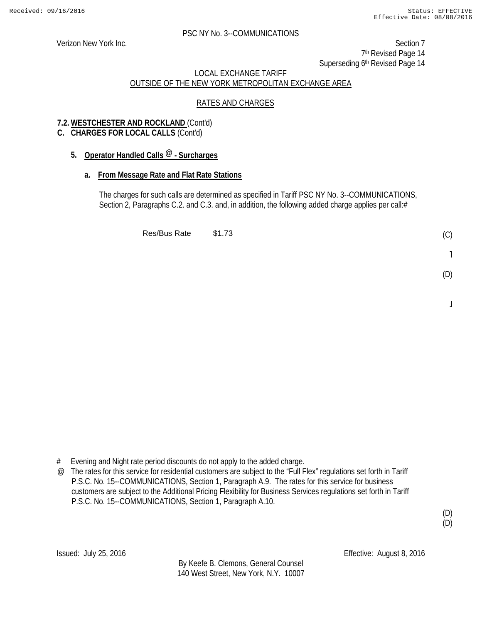Verizon New York Inc. Section 7 7<sup>th</sup> Revised Page 14 Superseding 6<sup>th</sup> Revised Page 14

## LOCAL EXCHANGE TARIFF OUTSIDE OF THE NEW YORK METROPOLITAN EXCHANGE AREA

## RATES AND CHARGES

## **7.2. WESTCHESTER AND ROCKLAND** (Cont'd)

## **C. CHARGES FOR LOCAL CALLS** (Cont'd)

## **5. Operator Handled Calls @ - Surcharges**

## **a. From Message Rate and Flat Rate Stations**

The charges for such calls are determined as specified in Tariff PSC NY No. 3--COMMUNICATIONS, Section 2, Paragraphs C.2. and C.3. and, in addition, the following added charge applies per call:#

Res/Bus Rate \$1.73

- (D)
	- $\overline{a}$

- # Evening and Night rate period discounts do not apply to the added charge.
- @ The rates for this service for residential customers are subject to the "Full Flex" regulations set forth in Tariff P.S.C. No. 15--COMMUNICATIONS, Section 1, Paragraph A.9. The rates for this service for business customers are subject to the Additional Pricing Flexibility for Business Services regulations set forth in Tariff P.S.C. No. 15--COMMUNICATIONS, Section 1, Paragraph A.10.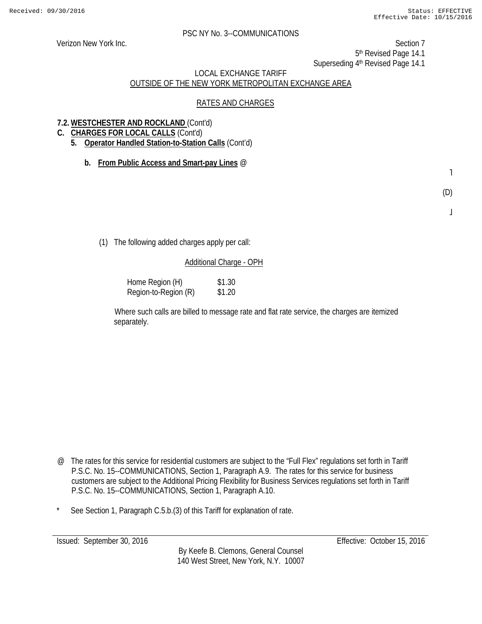Verizon New York Inc. Section 7

5th Revised Page 14.1

Superseding 4<sup>th</sup> Revised Page 14.1

## LOCAL EXCHANGE TARIFF OUTSIDE OF THE NEW YORK METROPOLITAN EXCHANGE AREA

#### RATES AND CHARGES

## **7.2. WESTCHESTER AND ROCKLAND** (Cont'd)

- **C. CHARGES FOR LOCAL CALLS** (Cont'd)
	- **5. Operator Handled Station-to-Station Calls** (Cont'd)
		- **b. From Public Access and Smart-pay Lines** @

˥

(D)

 $\bf \bf I$ 

(1) The following added charges apply per call:

## Additional Charge - OPH

Home Region (H) \$1.30 Region-to-Region (R) \$1.20

Where such calls are billed to message rate and flat rate service, the charges are itemized separately.

- @ The rates for this service for residential customers are subject to the "Full Flex" regulations set forth in Tariff P.S.C. No. 15--COMMUNICATIONS, Section 1, Paragraph A.9. The rates for this service for business customers are subject to the Additional Pricing Flexibility for Business Services regulations set forth in Tariff P.S.C. No. 15--COMMUNICATIONS, Section 1, Paragraph A.10.
- See Section 1, Paragraph C.5.b.(3) of this Tariff for explanation of rate.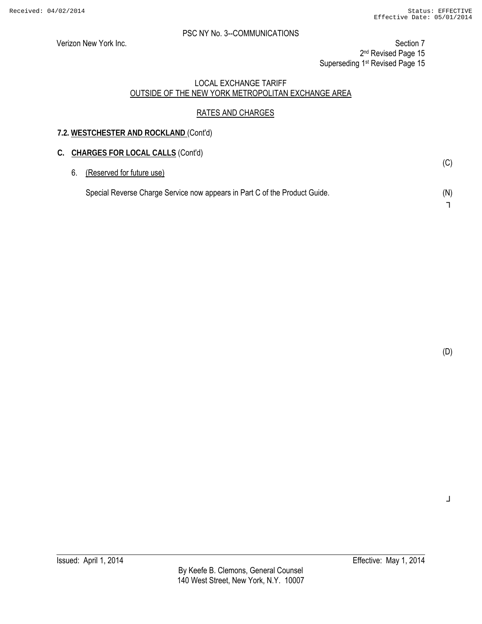Verizon New York Inc. Section 7

2<sup>nd</sup> Revised Page 15

Superseding 1<sup>st</sup> Revised Page 15

#### LOCAL EXCHANGE TARIFF OUTSIDE OF THE NEW YORK METROPOLITAN EXCHANGE AREA

## RATES AND CHARGES

## **7.2. WESTCHESTER AND ROCKLAND** (Cont'd)

## **C. CHARGES FOR LOCAL CALLS** (Cont'd) 6. (Reserved for future use) Special Reverse Charge Service now appears in Part C of the Product Guide. (C) (N) ┐

(D)

┘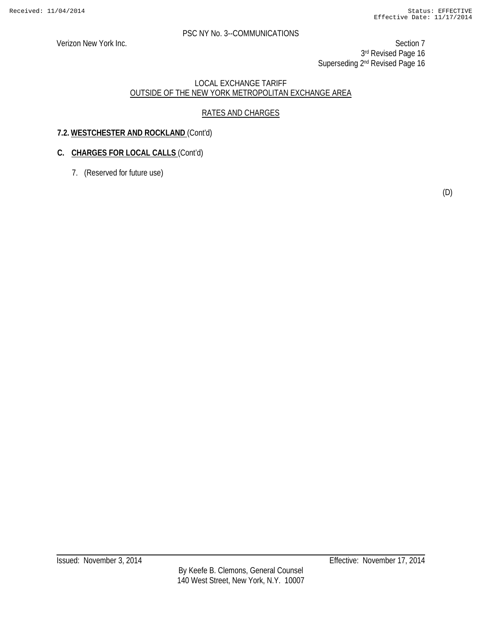Verizon New York Inc. Section 7 3rd Revised Page 16 Superseding 2<sup>nd</sup> Revised Page 16

#### LOCAL EXCHANGE TARIFF OUTSIDE OF THE NEW YORK METROPOLITAN EXCHANGE AREA

## RATES AND CHARGES

## **7.2. WESTCHESTER AND ROCKLAND** (Cont'd)

## **C. CHARGES FOR LOCAL CALLS** (Cont'd)

7. (Reserved for future use)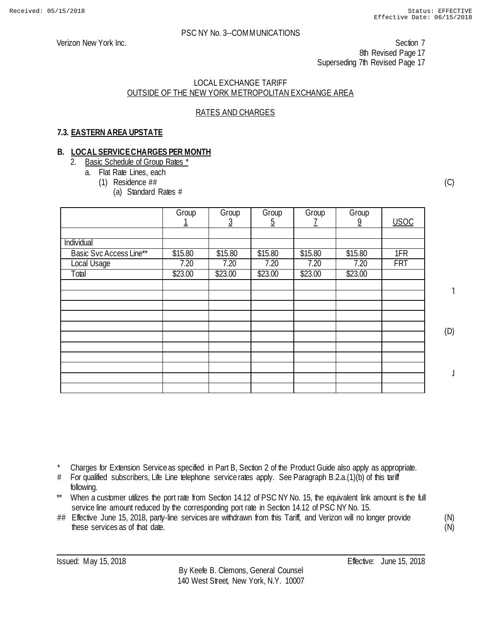Verizon New York Inc. Section 7 8th Revised Page 17 Superseding 7th Revised Page 17

#### LOCAL EXCHANGE TARIFF OUTSIDE OF THE NEW YORK METROPOLITAN EXCHANGE AREA

## RATES AND CHARGES

## **7.3. EASTERN AREA UPSTATE**

#### **B. LOCAL SERVICE CHARGES PER MONTH**

- 2. Basic Schedule of Group Rates \*
	- a. Flat Rate Lines, each
		- (1) Residence ##
			- (a) Standard Rates #

|                         | Group   | Group<br>3 | Group<br><u>5</u> | Group   | Group<br>$\overline{9}$ | <b>USOC</b> |
|-------------------------|---------|------------|-------------------|---------|-------------------------|-------------|
|                         |         |            |                   |         |                         |             |
| Individual              |         |            |                   |         |                         |             |
| Basic Svc Access Line** | \$15.80 | \$15.80    | \$15.80           | \$15.80 | \$15.80                 | 1FR         |
| Local Usage             | 7.20    | 7.20       | 7.20              | 7.20    | 7.20                    | <b>FRT</b>  |
| Total                   | \$23.00 | \$23.00    | \$23.00           | \$23.00 | \$23.00                 |             |
|                         |         |            |                   |         |                         |             |
|                         |         |            |                   |         |                         |             |
|                         |         |            |                   |         |                         |             |
|                         |         |            |                   |         |                         |             |
|                         |         |            |                   |         |                         |             |
|                         |         |            |                   |         |                         |             |
|                         |         |            |                   |         |                         |             |
|                         |         |            |                   |         |                         |             |
|                         |         |            |                   |         |                         |             |
|                         |         |            |                   |         |                         |             |
|                         |         |            |                   |         |                         |             |

(C)

˥

(D)

 $\perp$ 

Charges for Extension Service as specified in Part B, Section 2 of the Product Guide also apply as appropriate.

- # For qualified subscribers, Life Line telephone service rates apply. See Paragraph B.2.a.(1)(b) of this tariff following.
- \*\* When a customer utilizes the port rate from Section 14.12 of PSC NY No. 15, the equivalent link amount is the full service line amount reduced by the corresponding port rate in Section 14.12 of PSC NY No. 15.
- ## Effective June 15, 2018, party-line services are withdrawn from this Tariff, and Verizon will no longer provide these services as of that date.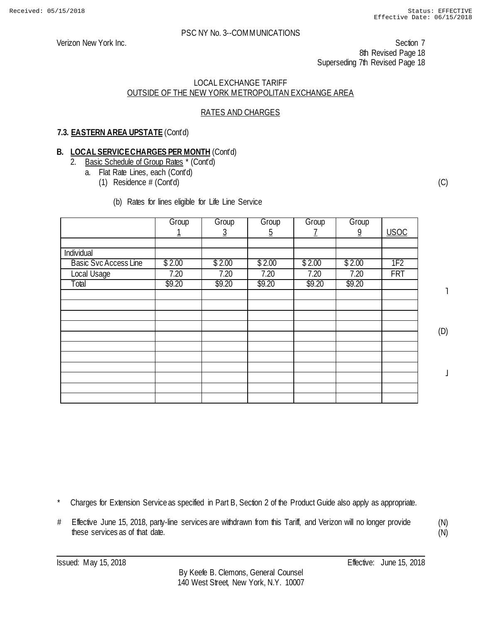Verizon New York Inc. Section 7 8th Revised Page 18 Superseding 7th Revised Page 18

#### LOCAL EXCHANGE TARIFF OUTSIDE OF THE NEW YORK METROPOLITAN EXCHANGE AREA

## RATES AND CHARGES

## **7.3. EASTERN AREA UPSTATE** (Cont'd)

## **B. LOCAL SERVICE CHARGES PER MONTH** (Cont'd)

- 2. Basic Schedule of Group Rates \* (Cont'd)
	- a. Flat Rate Lines, each (Cont'd)
		- (1) Residence # (Cont'd)

#### (b) Rates for lines eligible for Life Line Service

|                              | Group  | Group<br>3 | Group<br>5 | Group  | Group<br>$\overline{9}$ | <b>USOC</b>     |
|------------------------------|--------|------------|------------|--------|-------------------------|-----------------|
|                              |        |            |            |        |                         |                 |
| Individual                   |        |            |            |        |                         |                 |
| <b>Basic Svc Access Line</b> | \$2.00 | \$2.00     | \$2.00     | \$2.00 | \$2.00                  | 1F <sub>2</sub> |
| Local Usage                  | 7.20   | 7.20       | 7.20       | 7.20   | 7.20                    | <b>FRT</b>      |
| Total                        | \$9.20 | \$9.20     | \$9.20     | \$9.20 | \$9.20                  |                 |
|                              |        |            |            |        |                         |                 |
|                              |        |            |            |        |                         |                 |
|                              |        |            |            |        |                         |                 |
|                              |        |            |            |        |                         |                 |
|                              |        |            |            |        |                         |                 |
|                              |        |            |            |        |                         |                 |
|                              |        |            |            |        |                         |                 |
|                              |        |            |            |        |                         |                 |
|                              |        |            |            |        |                         |                 |
|                              |        |            |            |        |                         |                 |
|                              |        |            |            |        |                         |                 |

(C)

 $\mathbf{I}$ 

(D)

 $\mathbf \mathbf I$ 

(N) (N)

Charges for Extension Service as specified in Part B, Section 2 of the Product Guide also apply as appropriate.

# Effective June 15, 2018, party-line services are withdrawn from this Tariff, and Verizon will no longer provide these services as of that date.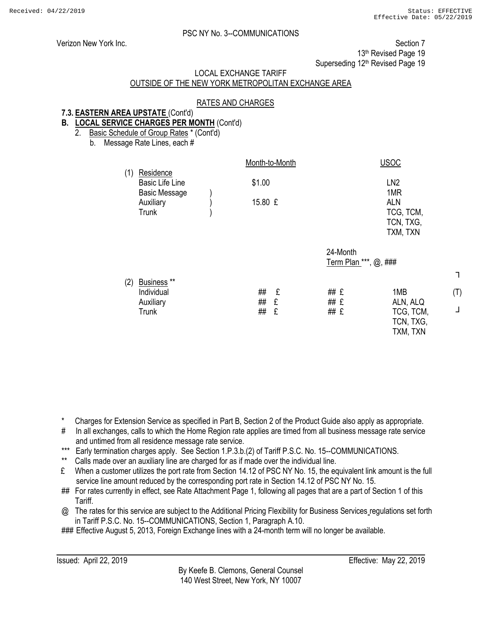┐

(T)

┘

#### PSC NY No. 3--COMMUNICATIONS

Verizon New York Inc. **Section 7** New York Inc. Section 7

13<sup>th</sup> Revised Page 19

Superseding 12<sup>th</sup> Revised Page 19

## LOCAL EXCHANGE TARIFF

## OUTSIDE OF THE NEW YORK METROPOLITAN EXCHANGE AREA

#### RATES AND CHARGES

## **7.3. EASTERN AREA UPSTATE** (Cont'd)

- **B. LOCAL SERVICE CHARGES PER MONTH** (Cont'd) 2. Basic Schedule of Group Rates \* (Cont'd)
	-

b. Message Rate Lines, each #

|     | Residence                            | Month-to-Month |                                   | <b>USOC</b>                        |
|-----|--------------------------------------|----------------|-----------------------------------|------------------------------------|
| (1) | <b>Basic Life Line</b>               | \$1.00         |                                   | LN <sub>2</sub>                    |
|     | <b>Basic Message</b><br>Auxiliary    | 15.80 £        |                                   | 1MR<br><b>ALN</b>                  |
|     | Trunk                                |                |                                   | TCG, TCM,                          |
|     |                                      |                |                                   | TCN, TXG,<br>TXM, TXN              |
|     |                                      |                | 24-Month<br>Term Plan ***, @, ### |                                    |
| (2) | Business <sup>**</sup><br>Individual | ##<br>£        | ## £                              | 1MB                                |
|     | Auxiliary                            | ##<br>£        | ## £                              | ALN, ALQ                           |
|     | Trunk                                | ##<br>£        | ## £                              | TCG, TCM,<br>TCN, TXG,<br>TXM, TXN |

\* Charges for Extension Service as specified in Part B, Section 2 of the Product Guide also apply as appropriate.

- # In all exchanges, calls to which the Home Region rate applies are timed from all business message rate service and untimed from all residence message rate service.
- \*\*\* Early termination charges apply. See Section 1.P.3.b.(2) of Tariff P.S.C. No. 15--COMMUNICATIONS.
- Calls made over an auxiliary line are charged for as if made over the individual line.
- £ When a customer utilizes the port rate from Section 14.12 of PSC NY No. 15, the equivalent link amount is the full service line amount reduced by the corresponding port rate in Section 14.12 of PSC NY No. 15.
- ## For rates currently in effect, see Rate Attachment Page 1, following all pages that are a part of Section 1 of this Tariff.
- @ The rates for this service are subject to the Additional Pricing Flexibility for Business Services regulations set forth in Tariff P.S.C. No. 15--COMMUNICATIONS, Section 1, Paragraph A.10.

### Effective August 5, 2013, Foreign Exchange lines with a 24-month term will no longer be available.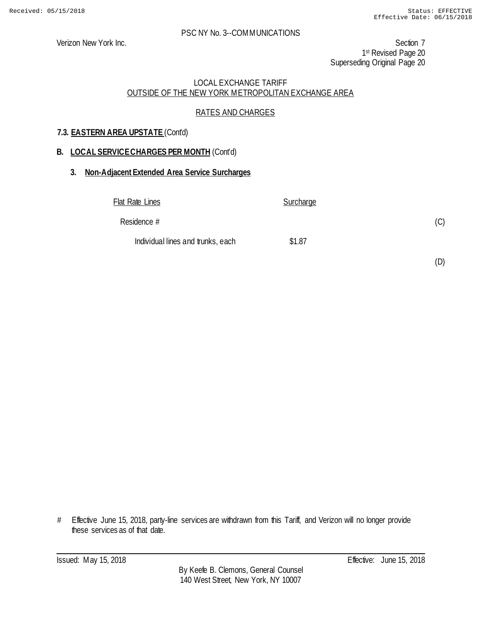Verizon New York Inc. Section 7 1st Revised Page 20 Superseding Original Page 20

## LOCAL EXCHANGE TARIFF OUTSIDE OF THE NEW YORK METROPOLITAN EXCHANGE AREA

## RATES AND CHARGES

## **7.3. EASTERN AREA UPSTATE** (Cont'd)

## **B. LOCAL SERVICE CHARGES PER MONTH** (Cont'd)

#### **3. Non-Adjacent Extended Area Service Surcharges**

| Flat Rate Lines                   | <b>Surcharge</b> |     |
|-----------------------------------|------------------|-----|
| Residence #                       |                  | (C) |
| Individual lines and trunks, each | \$1.87           |     |

(D)

# Effective June 15, 2018, party-line services are withdrawn from this Tariff, and Verizon will no longer provide these services as of that date.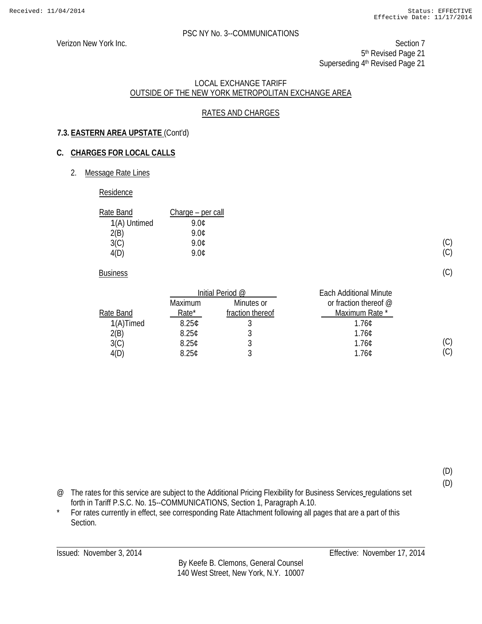(C) (C)

(C)

(C)  $(C)$ 

(D) (D)

#### PSC NY No. 3--COMMUNICATIONS

Verizon New York Inc. Section 7 5<sup>th</sup> Revised Page 21 Superseding 4<sup>th</sup> Revised Page 21

#### LOCAL EXCHANGE TARIFF OUTSIDE OF THE NEW YORK METROPOLITAN EXCHANGE AREA

## RATES AND CHARGES

## **7.3. EASTERN AREA UPSTATE** (Cont'd)

## **C. CHARGES FOR LOCAL CALLS**

2. Message Rate Lines

#### Residence

| Rate Band    | Charge – per call |
|--------------|-------------------|
| 1(A) Untimed | 9.NC              |
| 2(B)         | 9 NC              |
| 3(C)         | 9.0¢              |
| 4(D)         | ዓ በ¢              |

**Business** 

|              |                   | Initial Period @ | <b>Each Additional Minute</b> |
|--------------|-------------------|------------------|-------------------------------|
|              | Maximum           | Minutes or       | or fraction thereof $@$       |
| Rate Band    | Rate*             | fraction thereof | Maximum Rate *                |
| $1(A)$ Timed | 8.25 <sub>¢</sub> |                  | 1.760                         |
| 2(B)         | 8.25C             |                  | 1.76C                         |
| 3(C)         | 8.25C             |                  | 1.76C                         |
| 4(D)         | 8.25C             |                  | 1.76C                         |

@ The rates for this service are subject to the Additional Pricing Flexibility for Business Services regulations set forth in Tariff P.S.C. No. 15--COMMUNICATIONS, Section 1, Paragraph A.10.

\* For rates currently in effect, see corresponding Rate Attachment following all pages that are a part of this Section.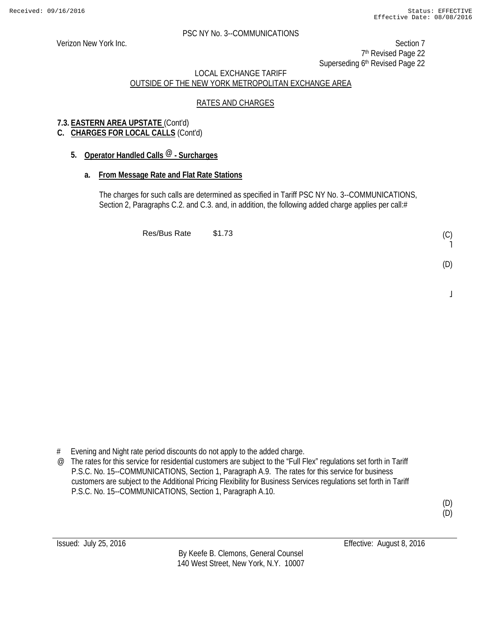Verizon New York Inc. Section 7 7<sup>th</sup> Revised Page 22 Superseding 6<sup>th</sup> Revised Page 22

## LOCAL EXCHANGE TARIFF OUTSIDE OF THE NEW YORK METROPOLITAN EXCHANGE AREA

## RATES AND CHARGES

## **7.3. EASTERN AREA UPSTATE** (Cont'd)

## **C. CHARGES FOR LOCAL CALLS** (Cont'd)

## **5. Operator Handled Calls @ - Surcharges**

## **a. From Message Rate and Flat Rate Stations**

The charges for such calls are determined as specified in Tariff PSC NY No. 3--COMMUNICATIONS, Section 2, Paragraphs C.2. and C.3. and, in addition, the following added charge applies per call:#

Res/Bus Rate \$1.73

# Evening and Night rate period discounts do not apply to the added charge.

@ The rates for this service for residential customers are subject to the "Full Flex" regulations set forth in Tariff P.S.C. No. 15--COMMUNICATIONS, Section 1, Paragraph A.9. The rates for this service for business customers are subject to the Additional Pricing Flexibility for Business Services regulations set forth in Tariff P.S.C. No. 15--COMMUNICATIONS, Section 1, Paragraph A.10.

(C) ˥

(D)

 $\overline{a}$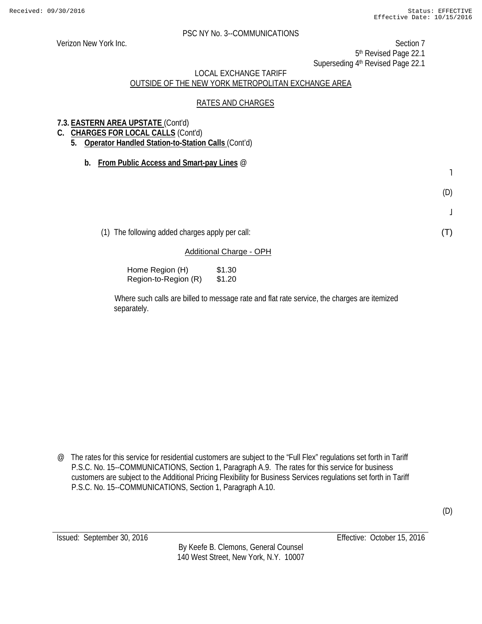Verizon New York Inc. Section 7 5th Revised Page 22.1 Superseding 4<sup>th</sup> Revised Page 22.1

## LOCAL EXCHANGE TARIFF OUTSIDE OF THE NEW YORK METROPOLITAN EXCHANGE AREA

#### RATES AND CHARGES

## **7.3. EASTERN AREA UPSTATE** (Cont'd)

- **C. CHARGES FOR LOCAL CALLS** (Cont'd)
	- **5. Operator Handled Station-to-Station Calls** (Cont'd)
		- **b. From Public Access and Smart-pay Lines** @

(D)

˥

 $\bf \bf j$ 

(T)

(1) The following added charges apply per call:

#### Additional Charge - OPH

Home Region (H) \$1.30 Region-to-Region (R) \$1.20

Where such calls are billed to message rate and flat rate service, the charges are itemized separately.

@ The rates for this service for residential customers are subject to the "Full Flex" regulations set forth in Tariff P.S.C. No. 15--COMMUNICATIONS, Section 1, Paragraph A.9. The rates for this service for business customers are subject to the Additional Pricing Flexibility for Business Services regulations set forth in Tariff P.S.C. No. 15--COMMUNICATIONS, Section 1, Paragraph A.10.

By Keefe B. Clemons, General Counsel 140 West Street, New York, N.Y. 10007

Issued: September 30, 2016 Effective: October 15, 2016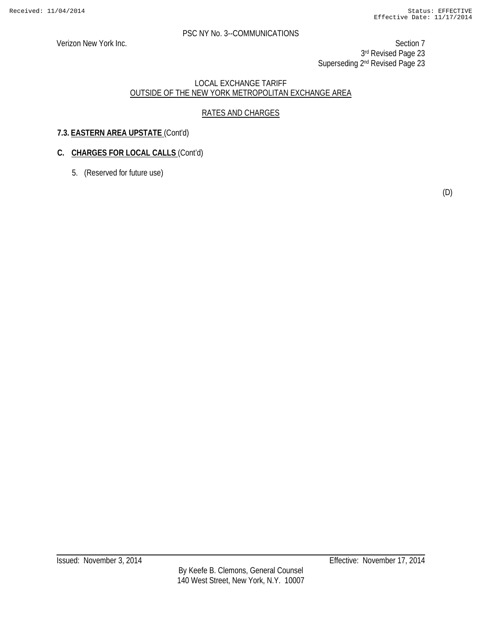Verizon New York Inc. Section 7 3rd Revised Page 23 Superseding 2<sup>nd</sup> Revised Page 23

#### LOCAL EXCHANGE TARIFF OUTSIDE OF THE NEW YORK METROPOLITAN EXCHANGE AREA

## RATES AND CHARGES

## **7.3. EASTERN AREA UPSTATE** (Cont'd)

## **C. CHARGES FOR LOCAL CALLS** (Cont'd)

5. (Reserved for future use)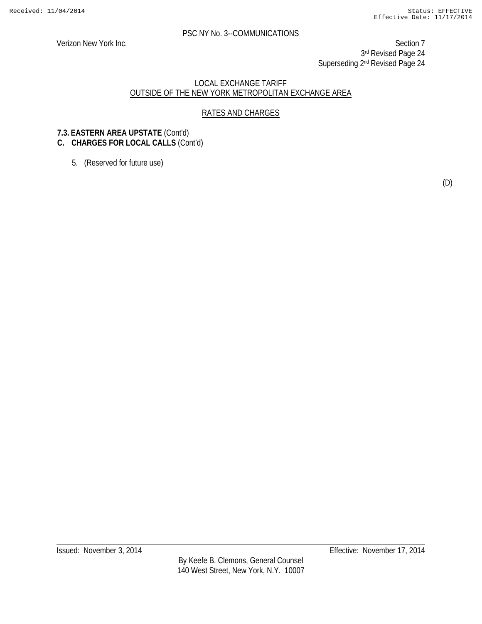Verizon New York Inc. Section 7 3rd Revised Page 24 Superseding 2<sup>nd</sup> Revised Page 24

#### LOCAL EXCHANGE TARIFF OUTSIDE OF THE NEW YORK METROPOLITAN EXCHANGE AREA

## RATES AND CHARGES

## **7.3. EASTERN AREA UPSTATE** (Cont'd)

## **C. CHARGES FOR LOCAL CALLS** (Cont'd)

5. (Reserved for future use)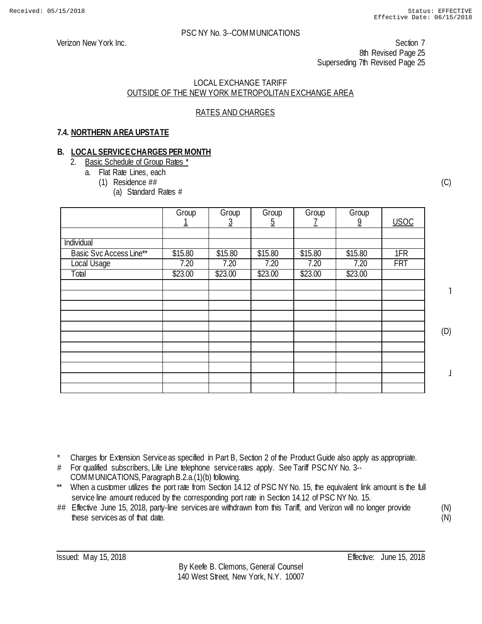Verizon New York Inc. Section 7 8th Revised Page 25 Superseding 7th Revised Page 25

#### LOCAL EXCHANGE TARIFF OUTSIDE OF THE NEW YORK METROPOLITAN EXCHANGE AREA

## RATES AND CHARGES

## **7.4. NORTHERN AREA UPSTATE**

#### **B. LOCAL SERVICE CHARGES PER MONTH**

- 2. Basic Schedule of Group Rates \*
	- a. Flat Rate Lines, each
		- (1) Residence ##
			- (a) Standard Rates #

|                         | Group   | Group<br><u>ځ</u> | Group<br>$\overline{5}$ | Group   | Group<br>9 | <b>USOC</b> |
|-------------------------|---------|-------------------|-------------------------|---------|------------|-------------|
|                         |         |                   |                         |         |            |             |
| Individual              |         |                   |                         |         |            |             |
| Basic Svc Access Line** | \$15.80 | \$15.80           | \$15.80                 | \$15.80 | \$15.80    | 1FR         |
| Local Usage             | 7.20    | 7.20              | 7.20                    | 7.20    | 7.20       | <b>FRT</b>  |
| Total                   | \$23.00 | \$23.00           | \$23.00                 | \$23.00 | \$23.00    |             |
|                         |         |                   |                         |         |            |             |
|                         |         |                   |                         |         |            |             |
|                         |         |                   |                         |         |            |             |
|                         |         |                   |                         |         |            |             |
|                         |         |                   |                         |         |            |             |
|                         |         |                   |                         |         |            |             |
|                         |         |                   |                         |         |            |             |
|                         |         |                   |                         |         |            |             |
|                         |         |                   |                         |         |            |             |
|                         |         |                   |                         |         |            |             |
|                         |         |                   |                         |         |            |             |

(C)

˥

(D)

 $\overline{a}$ 

- Charges for Extension Service as specified in Part B, Section 2 of the Product Guide also apply as appropriate.
- # For qualified subscribers, Life Line telephone service rates apply. See Tariff PSC NY No. 3-- COMMUNICATIONS, Paragraph B.2.a.(1)(b) following.
- \*\* When a customer utilizes the port rate from Section 14.12 of PSC NY No. 15, the equivalent link amount is the full service line amount reduced by the corresponding port rate in Section 14.12 of PSC NY No. 15.
- ## Effective June 15, 2018, party-line services are withdrawn from this Tariff, and Verizon will no longer provide these services as of that date.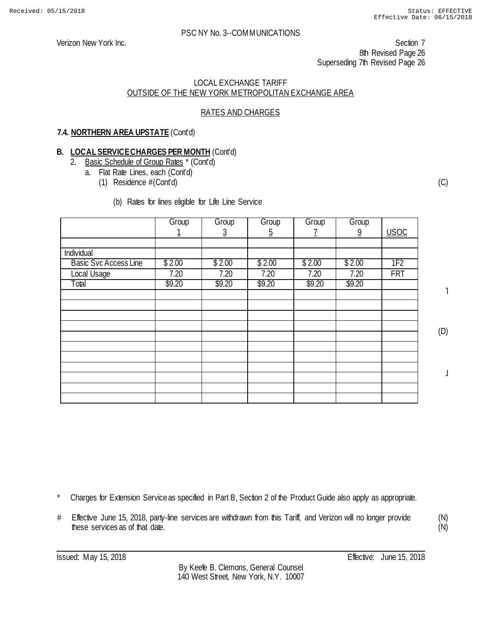Verizon New York Inc. Section 7 8th Revised Page 26 Superseding 7th Revised Page 26

#### LOCAL EXCHANGE TARIFF OUTSIDE OF THE NEW YORK METROPOLITAN EXCHANGE AREA

## RATES AND CHARGES

## **7.4. NORTHERN AREA UPSTATE** (Cont'd)

## **B. LOCAL SERVICE CHARGES PER MONTH** (Cont'd)

- 2. Basic Schedule of Group Rates \* (Cont'd)
	- a. Flat Rate Lines, each (Cont'd)
		- (1) Residence #(Cont'd)
			- (b) Rates for lines eligible for Life Line Service

|                              | Group  | Group  | Group  | Group  | Group          |                 |
|------------------------------|--------|--------|--------|--------|----------------|-----------------|
|                              |        | 3      | 5      |        | $\overline{9}$ | <b>USOC</b>     |
|                              |        |        |        |        |                |                 |
| Individual                   |        |        |        |        |                |                 |
| <b>Basic Svc Access Line</b> | \$2.00 | \$2.00 | \$2.00 | \$2.00 | \$2.00         | 1F <sub>2</sub> |
| Local Usage                  | 7.20   | 7.20   | 7.20   | 7.20   | 7.20           | <b>FRT</b>      |
| Total                        | \$9.20 | \$9.20 | \$9.20 | \$9.20 | \$9.20         |                 |
|                              |        |        |        |        |                |                 |
|                              |        |        |        |        |                |                 |
|                              |        |        |        |        |                |                 |
|                              |        |        |        |        |                |                 |
|                              |        |        |        |        |                |                 |
|                              |        |        |        |        |                |                 |
|                              |        |        |        |        |                |                 |
|                              |        |        |        |        |                |                 |
|                              |        |        |        |        |                |                 |
|                              |        |        |        |        |                |                 |
|                              |        |        |        |        |                |                 |

(C)

 $\mathbf{I}$ 

(D)

 $\perp$ 

- Charges for Extension Service as specified in Part B, Section 2 of the Product Guide also apply as appropriate.
- # Effective June 15, 2018, party-line services are withdrawn from this Tariff, and Verizon will no longer provide these services as of that date.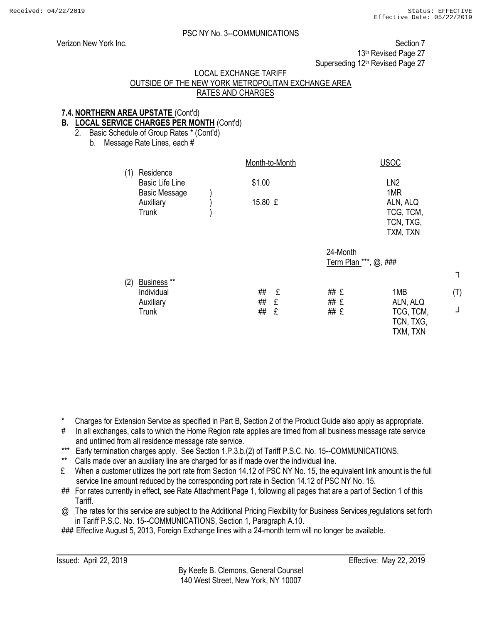┐

(T)

┘

## PSC NY No. 3--COMMUNICATIONS

Verizon New York Inc. Section 7 13<sup>th</sup> Revised Page 27 Superseding 12<sup>th</sup> Revised Page 27

#### LOCAL EXCHANGE TARIFF

## OUTSIDE OF THE NEW YORK METROPOLITAN EXCHANGE AREA RATES AND CHARGES

## **7.4. NORTHERN AREA UPSTATE** (Cont'd)

## **B. LOCAL SERVICE CHARGES PER MONTH** (Cont'd)

2. Basic Schedule of Group Rates \* (Cont'd)

b. Message Rate Lines, each #

|     |                                                             | Month-to-Month |             |                                   | <b>USOC</b>                                           |
|-----|-------------------------------------------------------------|----------------|-------------|-----------------------------------|-------------------------------------------------------|
| (1) | Residence<br><b>Basic Life Line</b><br><b>Basic Message</b> | \$1.00         |             |                                   | LN <sub>2</sub><br>1MR                                |
|     | Auxiliary<br><b>Trunk</b>                                   | 15.80 £        |             |                                   | ALN, ALQ<br>TCG, TCM,<br>TCN, TXG,                    |
|     |                                                             |                |             |                                   | TXM, TXN                                              |
|     |                                                             |                |             | 24-Month<br>Term Plan ***, @, ### |                                                       |
| (2) | Business **<br>Individual<br>Auxiliary<br><b>Trunk</b>      | ##<br>##<br>## | £<br>£<br>£ | ## £<br>## £<br>## £              | 1MB<br>ALN, ALQ<br>TCG, TCM,<br>TCN, TXG,<br>TXM, TXN |

\* Charges for Extension Service as specified in Part B, Section 2 of the Product Guide also apply as appropriate.

- # In all exchanges, calls to which the Home Region rate applies are timed from all business message rate service and untimed from all residence message rate service.
- \*\*\* Early termination charges apply. See Section 1.P.3.b.(2) of Tariff P.S.C. No. 15--COMMUNICATIONS.
- Calls made over an auxiliary line are charged for as if made over the individual line.
- £ When a customer utilizes the port rate from Section 14.12 of PSC NY No. 15, the equivalent link amount is the full service line amount reduced by the corresponding port rate in Section 14.12 of PSC NY No. 15.
- ## For rates currently in effect, see Rate Attachment Page 1, following all pages that are a part of Section 1 of this Tariff.
- @ The rates for this service are subject to the Additional Pricing Flexibility for Business Services regulations set forth in Tariff P.S.C. No. 15--COMMUNICATIONS, Section 1, Paragraph A.10.

### Effective August 5, 2013, Foreign Exchange lines with a 24-month term will no longer be available.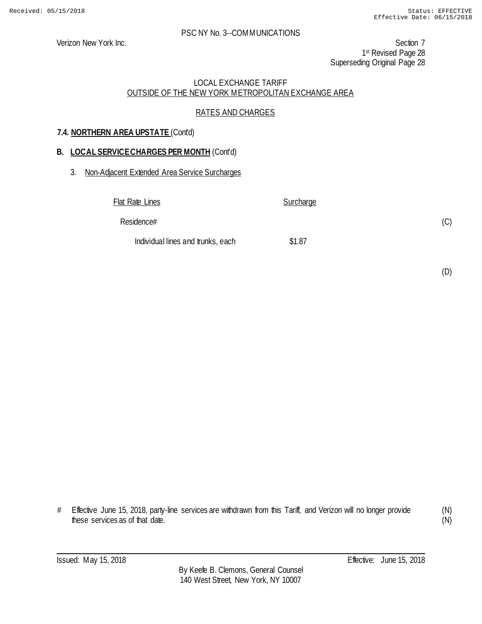Verizon New York Inc. Section 7 1st Revised Page 28 Superseding Original Page 28

## LOCAL EXCHANGE TARIFF OUTSIDE OF THE NEW YORK METROPOLITAN EXCHANGE AREA

## RATES AND CHARGES

## **7.4. NORTHERN AREA UPSTATE** (Cont'd)

## **B. LOCAL SERVICE CHARGES PER MONTH** (Cont'd)

## 3. Non-Adjacent Extended Area Service Surcharges

Flat Rate Lines Surcharge Residence# Individual lines and trunks, each \$1.87

(D)

(C)

# Effective June 15, 2018, party-line services are withdrawn from this Tariff, and Verizon will no longer provide these services as of that date.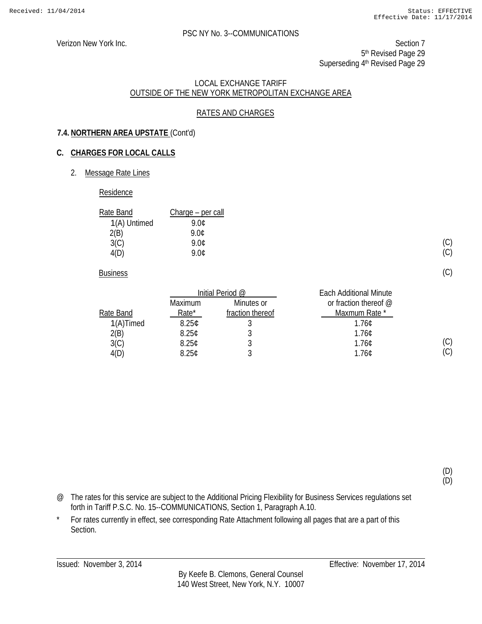Verizon New York Inc. Section 7 5<sup>th</sup> Revised Page 29 Superseding 4<sup>th</sup> Revised Page 29

#### LOCAL EXCHANGE TARIFF OUTSIDE OF THE NEW YORK METROPOLITAN EXCHANGE AREA

## RATES AND CHARGES

## **7.4. NORTHERN AREA UPSTATE** (Cont'd)

## **C. CHARGES FOR LOCAL CALLS**

2. Message Rate Lines

#### Residence

| Rate Band    | Charge – per call |
|--------------|-------------------|
| 1(A) Untimed | 9.NC              |
| 2(B)         | 9 OC              |
| 3(C)         | 9.0¢              |
| 4(D)         | 9 NC              |

**Business** 

|              | Initial Period @  |                  | <b>Each Additional Minute</b> |
|--------------|-------------------|------------------|-------------------------------|
|              | Maximum           | Minutes or       | or fraction thereof $@$       |
| Rate Band    | Rate*             | fraction thereof | Maxmum Rate *                 |
| $1(A)$ Timed | 8.25 <sub>c</sub> |                  | 1.760                         |
| 2(B)         | 8.25C             |                  | 1.76C                         |
| 3(C)         | 8.25C             |                  | 1.76C                         |
| 4(D)         | 8.25C             |                  | 1.76C                         |

(D) (D)

(C) (C)

(C)

(C)  $(C)$ 

- @ The rates for this service are subject to the Additional Pricing Flexibility for Business Services regulations set forth in Tariff P.S.C. No. 15--COMMUNICATIONS, Section 1, Paragraph A.10.
- \* For rates currently in effect, see corresponding Rate Attachment following all pages that are a part of this Section.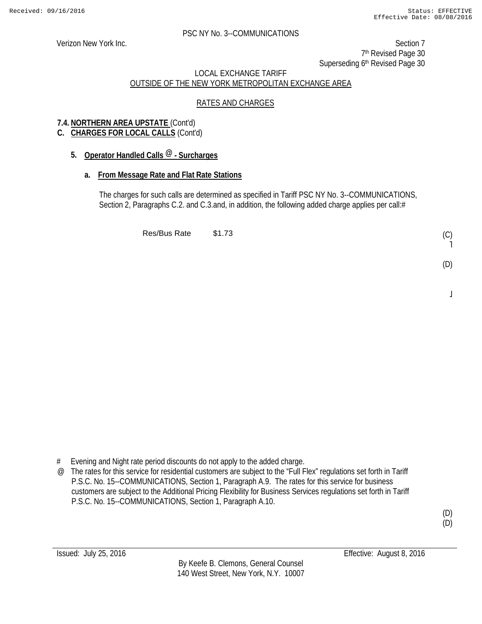Verizon New York Inc. Section 7 7th Revised Page 30 Superseding 6<sup>th</sup> Revised Page 30

## LOCAL EXCHANGE TARIFF OUTSIDE OF THE NEW YORK METROPOLITAN EXCHANGE AREA

## RATES AND CHARGES

## **7.4. NORTHERN AREA UPSTATE** (Cont'd)

## **C. CHARGES FOR LOCAL CALLS** (Cont'd)

## **5. Operator Handled Calls @ - Surcharges**

## **a. From Message Rate and Flat Rate Stations**

The charges for such calls are determined as specified in Tariff PSC NY No. 3--COMMUNICATIONS, Section 2, Paragraphs C.2. and C.3.and, in addition, the following added charge applies per call:#

Res/Bus Rate \$1.73

# Evening and Night rate period discounts do not apply to the added charge.

@ The rates for this service for residential customers are subject to the "Full Flex" regulations set forth in Tariff P.S.C. No. 15--COMMUNICATIONS, Section 1, Paragraph A.9. The rates for this service for business customers are subject to the Additional Pricing Flexibility for Business Services regulations set forth in Tariff P.S.C. No. 15--COMMUNICATIONS, Section 1, Paragraph A.10.

(D) (D)

(C) ˥

(D)

 $\overline{a}$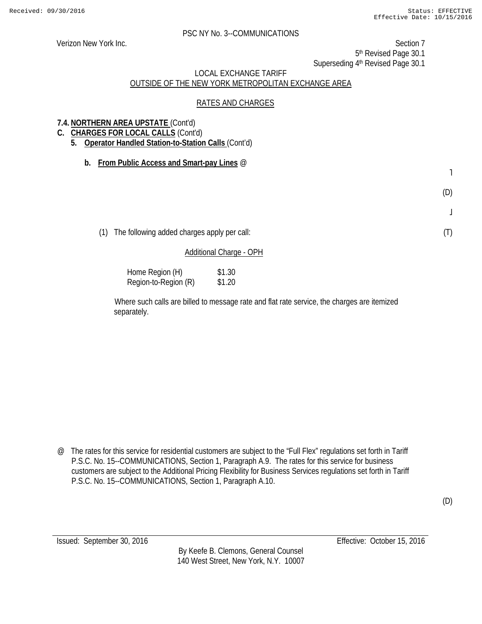Verizon New York Inc. Section 7 5th Revised Page 30.1 Superseding 4<sup>th</sup> Revised Page 30.1

## LOCAL EXCHANGE TARIFF OUTSIDE OF THE NEW YORK METROPOLITAN EXCHANGE AREA

## RATES AND CHARGES

## **7.4. NORTHERN AREA UPSTATE** (Cont'd)

- **C. CHARGES FOR LOCAL CALLS** (Cont'd)
	- **5. Operator Handled Station-to-Station Calls** (Cont'd)
		- **b. From Public Access and Smart-pay Lines** @

˥

(D)

 $\bf \bf j$ 

(T)

(D)

(1) The following added charges apply per call:

## Additional Charge - OPH

| Home Region (H)      | \$1.30 |
|----------------------|--------|
| Region-to-Region (R) | \$1.20 |

Where such calls are billed to message rate and flat rate service, the charges are itemized separately.

@ The rates for this service for residential customers are subject to the "Full Flex" regulations set forth in Tariff P.S.C. No. 15--COMMUNICATIONS, Section 1, Paragraph A.9. The rates for this service for business customers are subject to the Additional Pricing Flexibility for Business Services regulations set forth in Tariff P.S.C. No. 15--COMMUNICATIONS, Section 1, Paragraph A.10.

By Keefe B. Clemons, General Counsel 140 West Street, New York, N.Y. 10007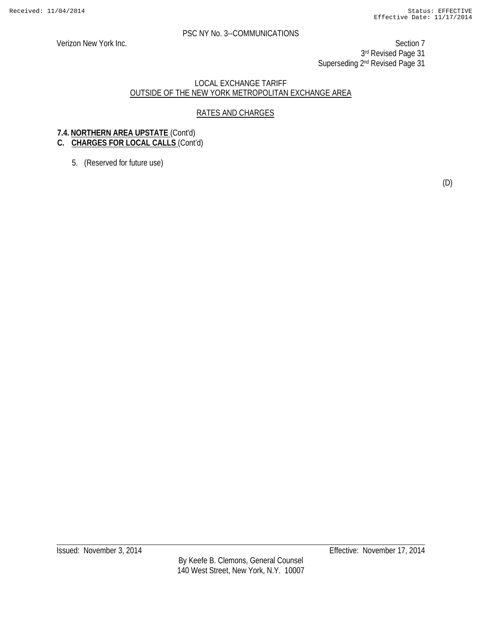Verizon New York Inc. Section 7 3rd Revised Page 31 Superseding 2<sup>nd</sup> Revised Page 31

#### LOCAL EXCHANGE TARIFF OUTSIDE OF THE NEW YORK METROPOLITAN EXCHANGE AREA

## RATES AND CHARGES

## **7.4. NORTHERN AREA UPSTATE** (Cont'd)

## **C. CHARGES FOR LOCAL CALLS** (Cont'd)

5. (Reserved for future use)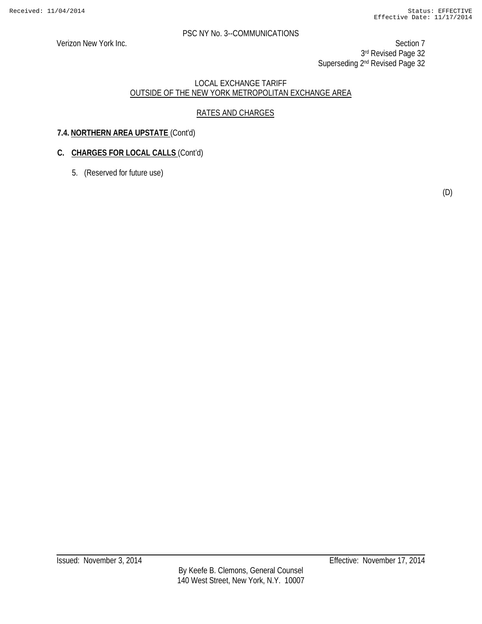Verizon New York Inc. Section 7 3rd Revised Page 32 Superseding 2<sup>nd</sup> Revised Page 32

## LOCAL EXCHANGE TARIFF OUTSIDE OF THE NEW YORK METROPOLITAN EXCHANGE AREA

## RATES AND CHARGES

## **7.4. NORTHERN AREA UPSTATE** (Cont'd)

## **C. CHARGES FOR LOCAL CALLS** (Cont'd)

5. (Reserved for future use)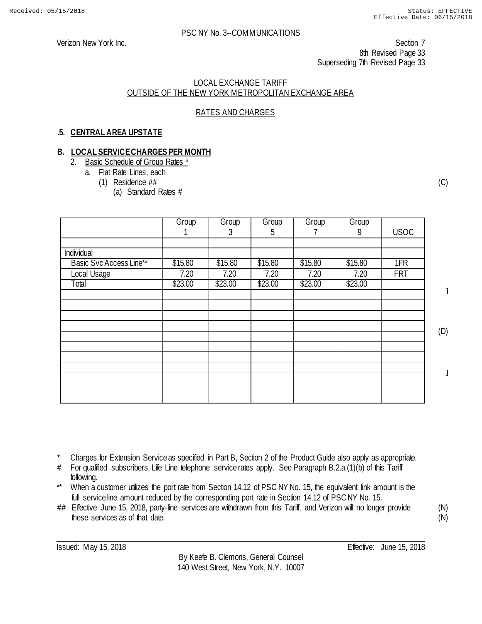Verizon New York Inc. Section 7 8th Revised Page 33 Superseding 7th Revised Page 33

#### LOCAL EXCHANGE TARIFF OUTSIDE OF THE NEW YORK METROPOLITAN EXCHANGE AREA

## RATES AND CHARGES

## **.5. CENTRAL AREA UPSTATE**

#### **B. LOCAL SERVICE CHARGES PER MONTH**

- 2. Basic Schedule of Group Rates \*
	- a. Flat Rate Lines, each
		- (1) Residence ##
			- (a) Standard Rates #

|                                | Group   | Group    | Group<br>$\overline{5}$ | Group   | Group<br>2 | <b>USOC</b> |  |
|--------------------------------|---------|----------|-------------------------|---------|------------|-------------|--|
|                                |         | <u>ک</u> |                         |         |            |             |  |
| Individual                     |         |          |                         |         |            |             |  |
| <b>Basic Svc Access Line**</b> | \$15.80 | \$15.80  | \$15.80                 | \$15.80 | \$15.80    | 1FR         |  |
| Local Usage                    | 7.20    | 7.20     | 7.20                    | 7.20    | 7.20       | <b>FRT</b>  |  |
| Total                          | \$23.00 | \$23.00  | \$23.00                 | \$23.00 | \$23.00    |             |  |
|                                |         |          |                         |         |            |             |  |
|                                |         |          |                         |         |            |             |  |
|                                |         |          |                         |         |            |             |  |
|                                |         |          |                         |         |            |             |  |
|                                |         |          |                         |         |            |             |  |
|                                |         |          |                         |         |            |             |  |
|                                |         |          |                         |         |            |             |  |
|                                |         |          |                         |         |            |             |  |
|                                |         |          |                         |         |            |             |  |
|                                |         |          |                         |         |            |             |  |
|                                |         |          |                         |         |            |             |  |

˥

(C)

(D)

 $\perp$ 

- \* Charges for Extension Service as specified in Part B, Section 2 of the Product Guide also apply as appropriate.
- # For qualified subscribers, Life Line telephone service rates apply. See Paragraph B.2.a.(1)(b) of this Tariff following.
- \*\* When a customer utilizes the port rate from Section 14.12 of PSC NY No. 15, the equivalent link amount is the full service line amount reduced by the corresponding port rate in Section 14.12 of PSC NY No. 15.
- ## Effective June 15, 2018, party-line services are withdrawn from this Tariff, and Verizon will no longer provide these services as of that date.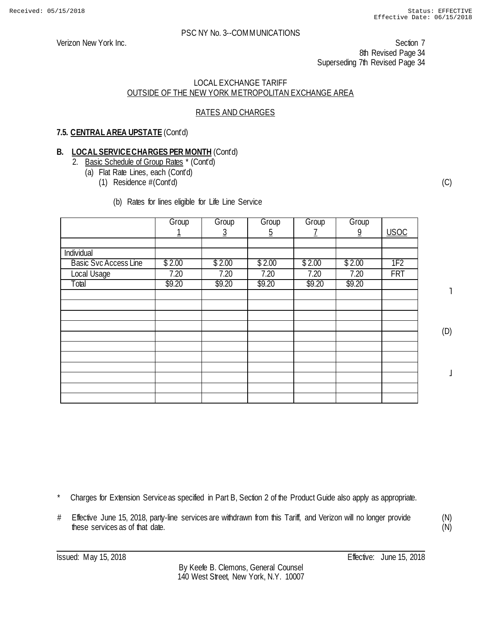#### LOCAL EXCHANGE TARIFF OUTSIDE OF THE NEW YORK METROPOLITAN EXCHANGE AREA

## RATES AND CHARGES

## **7.5. CENTRAL AREA UPSTATE** (Cont'd)

## **B. LOCAL SERVICE CHARGES PER MONTH** (Cont'd)

- 2. Basic Schedule of Group Rates \* (Cont'd)
	- (a) Flat Rate Lines, each (Cont'd)
		- (1) Residence #(Cont'd)
			- (b) Rates for lines eligible for Life Line Service

|                              | Group  | Group  | Group    | Group  | Group          |                 |
|------------------------------|--------|--------|----------|--------|----------------|-----------------|
|                              |        | 3      | <u>5</u> | Z      | $\overline{9}$ | <b>USOC</b>     |
|                              |        |        |          |        |                |                 |
| Individual                   |        |        |          |        |                |                 |
| <b>Basic Svc Access Line</b> | \$2.00 | \$2.00 | \$2.00   | \$2.00 | \$2.00         | 1F <sub>2</sub> |
| Local Usage                  | 7.20   | 7.20   | 7.20     | 7.20   | 7.20           | <b>FRT</b>      |
| Total                        | \$9.20 | \$9.20 | \$9.20   | \$9.20 | \$9.20         |                 |
|                              |        |        |          |        |                |                 |
|                              |        |        |          |        |                |                 |
|                              |        |        |          |        |                |                 |
|                              |        |        |          |        |                |                 |
|                              |        |        |          |        |                |                 |
|                              |        |        |          |        |                |                 |
|                              |        |        |          |        |                |                 |
|                              |        |        |          |        |                |                 |
|                              |        |        |          |        |                |                 |
|                              |        |        |          |        |                |                 |
|                              |        |        |          |        |                |                 |

(C)

˥

(D)

 $\overline{1}$ 

- Charges for Extension Service as specified in Part B, Section 2 of the Product Guide also apply as appropriate.
- # Effective June 15, 2018, party-line services are withdrawn from this Tariff, and Verizon will no longer provide these services as of that date.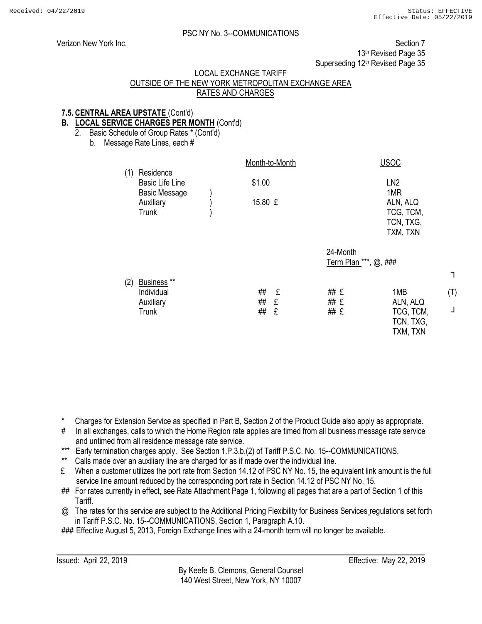┐

(T)

┘

## PSC NY No. 3--COMMUNICATIONS

Verizon New York Inc. Section 7 13<sup>th</sup> Revised Page 35 Superseding 12<sup>th</sup> Revised Page 35

#### LOCAL EXCHANGE TARIFF

## OUTSIDE OF THE NEW YORK METROPOLITAN EXCHANGE AREA RATES AND CHARGES

## **7.5. CENTRAL AREA UPSTATE** (Cont'd)

## **B. LOCAL SERVICE CHARGES PER MONTH** (Cont'd)

2. Basic Schedule of Group Rates \* (Cont'd)

b. Message Rate Lines, each #

|                                                                          |                | Month-to-Month |                      | <b>USOC</b>                                           |
|--------------------------------------------------------------------------|----------------|----------------|----------------------|-------------------------------------------------------|
| Residence<br>(1)<br><b>Basic Life Line</b><br><b>Basic Message</b>       | \$1.00         |                |                      | LN <sub>2</sub><br>1MR                                |
| Auxiliary<br><b>Trunk</b>                                                | 15.80 £        |                |                      | ALN, ALQ<br>TCG, TCM,<br>TCN, TXG,                    |
|                                                                          |                |                |                      | TXM, TXN                                              |
|                                                                          |                |                | 24-Month             | Term Plan ***, @, ###                                 |
| Business <sup>**</sup><br>(2)<br>Individual<br>Auxiliary<br><b>Trunk</b> | ##<br>##<br>## | £<br>£<br>£    | ## £<br>## £<br>## £ | 1MB<br>ALN, ALQ<br>TCG, TCM,<br>TCN, TXG,<br>TXM, TXN |

\* Charges for Extension Service as specified in Part B, Section 2 of the Product Guide also apply as appropriate.

- # In all exchanges, calls to which the Home Region rate applies are timed from all business message rate service and untimed from all residence message rate service.
- \*\*\* Early termination charges apply. See Section 1.P.3.b.(2) of Tariff P.S.C. No. 15--COMMUNICATIONS.
- Calls made over an auxiliary line are charged for as if made over the individual line.
- £ When a customer utilizes the port rate from Section 14.12 of PSC NY No. 15, the equivalent link amount is the full service line amount reduced by the corresponding port rate in Section 14.12 of PSC NY No. 15.
- ## For rates currently in effect, see Rate Attachment Page 1, following all pages that are a part of Section 1 of this Tariff.
- @ The rates for this service are subject to the Additional Pricing Flexibility for Business Services regulations set forth in Tariff P.S.C. No. 15--COMMUNICATIONS, Section 1, Paragraph A.10.

### Effective August 5, 2013, Foreign Exchange lines with a 24-month term will no longer be available.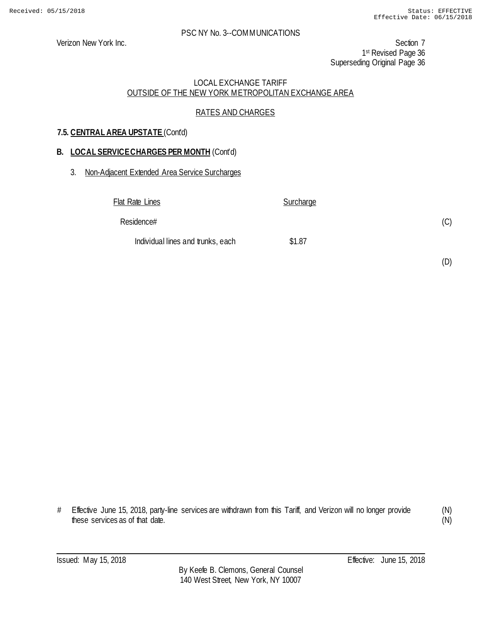Verizon New York Inc. Section 7 1st Revised Page 36 Superseding Original Page 36

## LOCAL EXCHANGE TARIFF OUTSIDE OF THE NEW YORK METROPOLITAN EXCHANGE AREA

## RATES AND CHARGES

## **7.5. CENTRAL AREA UPSTATE** (Cont'd)

## **B. LOCAL SERVICE CHARGES PER MONTH** (Cont'd)

#### 3. Non-Adjacent Extended Area Service Surcharges

| Flat Rate Lines                   | Surcharge |     |
|-----------------------------------|-----------|-----|
| Residence#                        |           | (C) |
| Individual lines and trunks, each | \$1.87    |     |

# Effective June 15, 2018, party-line services are withdrawn from this Tariff, and Verizon will no longer provide these services as of that date.

(N) (N)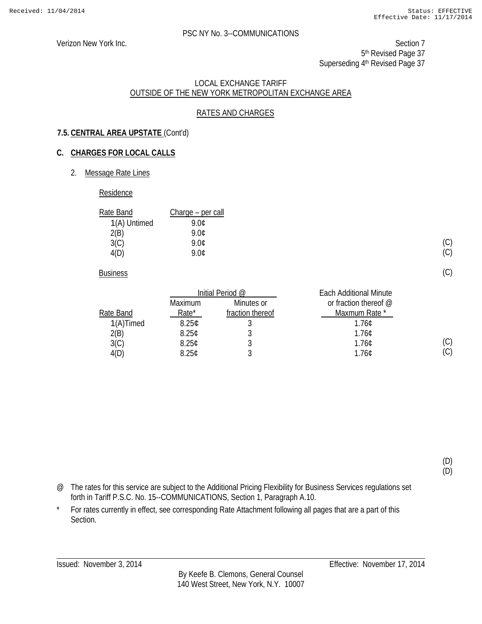(C) (C)

(C)

(C)  $(C)$ 

(D) (D)

#### PSC NY No. 3--COMMUNICATIONS

Verizon New York Inc. Section 7 5<sup>th</sup> Revised Page 37 Superseding 4<sup>th</sup> Revised Page 37

#### LOCAL EXCHANGE TARIFF OUTSIDE OF THE NEW YORK METROPOLITAN EXCHANGE AREA

## RATES AND CHARGES

## **7.5. CENTRAL AREA UPSTATE** (Cont'd)

## **C. CHARGES FOR LOCAL CALLS**

2. Message Rate Lines

#### Residence

| Rate Band    | Charge – per call |
|--------------|-------------------|
| 1(A) Untimed | 9.NC              |
| 2(B)         | 9 NC              |
| 3(C)         | 9.0¢              |
| 4(D)         | 9 NC              |

**Business** 

|              | Initial Period @  |                  | <b>Each Additional Minute</b> |
|--------------|-------------------|------------------|-------------------------------|
|              | Maximum           | Minutes or       | or fraction thereof $@$       |
| Rate Band    | Rate*             | fraction thereof | Maxmum Rate *                 |
| $1(A)$ Timed | 8.25 <sub>c</sub> |                  | 1.760                         |
| 2(B)         | 8.25C             |                  | 1.76C                         |
| 3(C)         | 8.25C             |                  | 1.76C                         |
| 4(D)         | 8.25C             |                  | 1.76C                         |

@ The rates for this service are subject to the Additional Pricing Flexibility for Business Services regulations set forth in Tariff P.S.C. No. 15--COMMUNICATIONS, Section 1, Paragraph A.10.

\* For rates currently in effect, see corresponding Rate Attachment following all pages that are a part of this Section.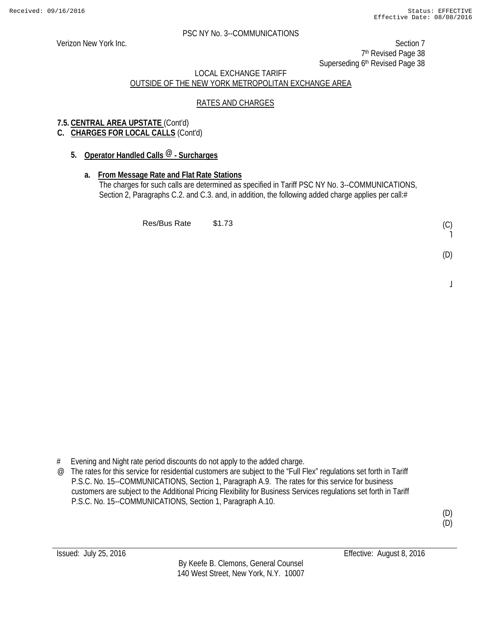Verizon New York Inc. Section 7 7<sup>th</sup> Revised Page 38 Superseding 6<sup>th</sup> Revised Page 38

## LOCAL EXCHANGE TARIFF OUTSIDE OF THE NEW YORK METROPOLITAN EXCHANGE AREA

## RATES AND CHARGES

## **7.5. CENTRAL AREA UPSTATE** (Cont'd)

## **C. CHARGES FOR LOCAL CALLS** (Cont'd)

## **5. Operator Handled Calls @ - Surcharges**

## **a. From Message Rate and Flat Rate Stations**

The charges for such calls are determined as specified in Tariff PSC NY No. 3--COMMUNICATIONS, Section 2, Paragraphs C.2. and C.3. and, in addition, the following added charge applies per call:#

Res/Bus Rate \$1.73

(D)

 $\overline{a}$ 

# Evening and Night rate period discounts do not apply to the added charge.

@ The rates for this service for residential customers are subject to the "Full Flex" regulations set forth in Tariff P.S.C. No. 15--COMMUNICATIONS, Section 1, Paragraph A.9. The rates for this service for business customers are subject to the Additional Pricing Flexibility for Business Services regulations set forth in Tariff P.S.C. No. 15--COMMUNICATIONS, Section 1, Paragraph A.10.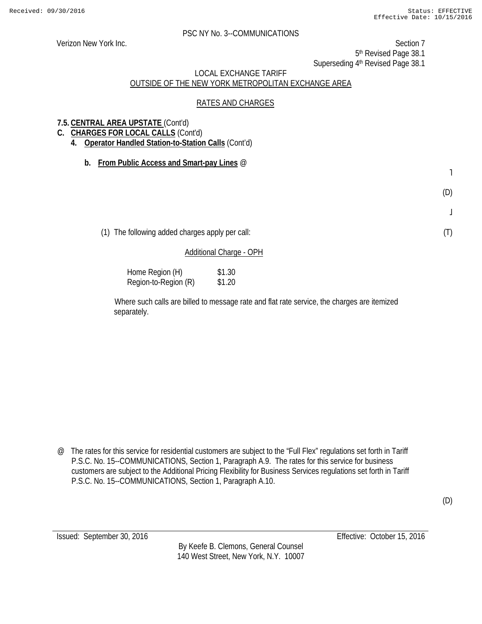Verizon New York Inc. Section 7 5th Revised Page 38.1

Superseding 4<sup>th</sup> Revised Page 38.1

## LOCAL EXCHANGE TARIFF OUTSIDE OF THE NEW YORK METROPOLITAN EXCHANGE AREA

## RATES AND CHARGES

## **7.5. CENTRAL AREA UPSTATE** (Cont'd)

- **C. CHARGES FOR LOCAL CALLS** (Cont'd)
	- **4. Operator Handled Station-to-Station Calls** (Cont'd)
		- **b. From Public Access and Smart-pay Lines** @

˥

(D)

 $\bf \bf j$ 

(T)

(D)

(1) The following added charges apply per call:

## Additional Charge - OPH

| Home Region (H)      | \$1.30 |
|----------------------|--------|
| Region-to-Region (R) | \$1.20 |

Where such calls are billed to message rate and flat rate service, the charges are itemized separately.

@ The rates for this service for residential customers are subject to the "Full Flex" regulations set forth in Tariff P.S.C. No. 15--COMMUNICATIONS, Section 1, Paragraph A.9. The rates for this service for business customers are subject to the Additional Pricing Flexibility for Business Services regulations set forth in Tariff P.S.C. No. 15--COMMUNICATIONS, Section 1, Paragraph A.10.

By Keefe B. Clemons, General Counsel 140 West Street, New York, N.Y. 10007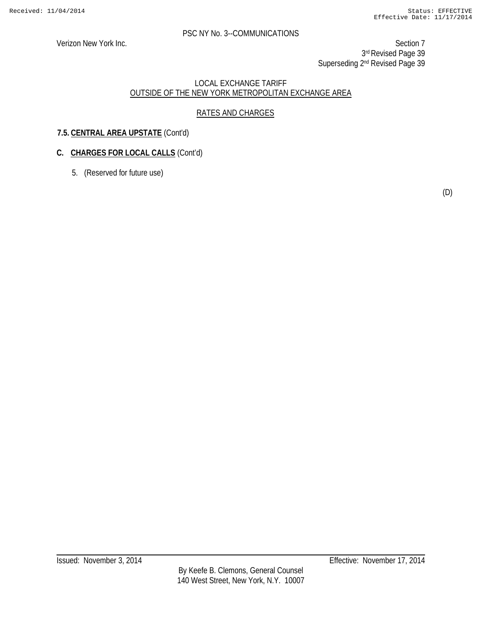Verizon New York Inc. Section 7 3rd Revised Page 39 Superseding 2<sup>nd</sup> Revised Page 39

## LOCAL EXCHANGE TARIFF OUTSIDE OF THE NEW YORK METROPOLITAN EXCHANGE AREA

## RATES AND CHARGES

## **7.5. CENTRAL AREA UPSTATE** (Cont'd)

## **C. CHARGES FOR LOCAL CALLS** (Cont'd)

5. (Reserved for future use)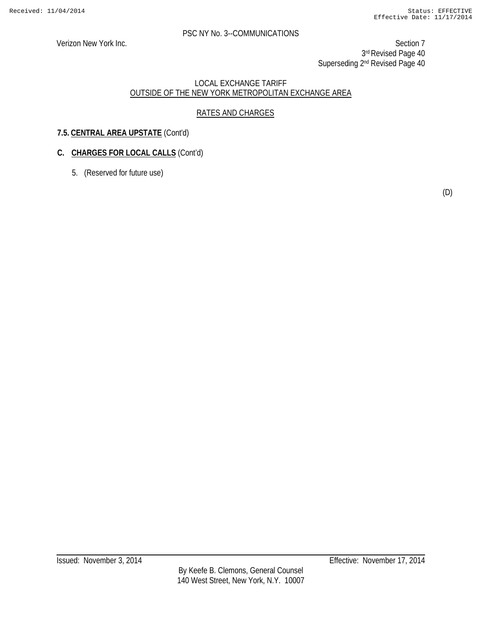Verizon New York Inc. Section 7 3rd Revised Page 40 Superseding 2<sup>nd</sup> Revised Page 40

## LOCAL EXCHANGE TARIFF OUTSIDE OF THE NEW YORK METROPOLITAN EXCHANGE AREA

## RATES AND CHARGES

## **7.5. CENTRAL AREA UPSTATE** (Cont'd)

## **C. CHARGES FOR LOCAL CALLS** (Cont'd)

5. (Reserved for future use)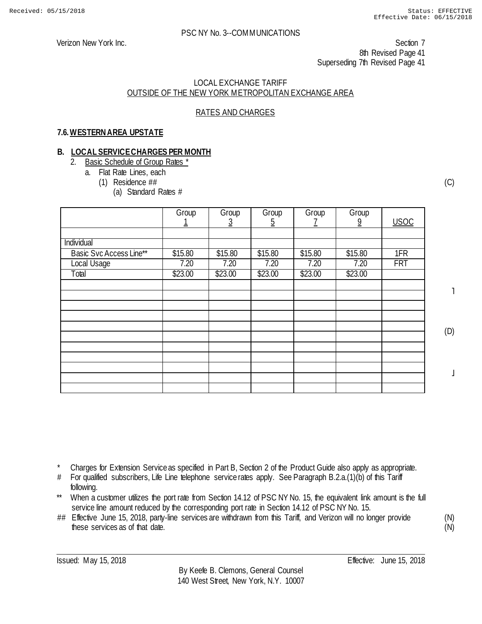Verizon New York Inc. Section 7 8th Revised Page 41 Superseding 7th Revised Page 41

#### LOCAL EXCHANGE TARIFF OUTSIDE OF THE NEW YORK METROPOLITAN EXCHANGE AREA

## RATES AND CHARGES

## **7.6.WESTERN AREA UPSTATE**

#### **B. LOCAL SERVICE CHARGES PER MONTH**

- 2. Basic Schedule of Group Rates \*
	- a. Flat Rate Lines, each
		- (1) Residence ##
			- (a) Standard Rates #

|                         | Group   | Group<br>3 | Group<br><u>5</u> | Group   | Group<br>$\overline{9}$ | <b>USOC</b> |
|-------------------------|---------|------------|-------------------|---------|-------------------------|-------------|
|                         |         |            |                   |         |                         |             |
| Individual              |         |            |                   |         |                         |             |
| Basic Svc Access Line** | \$15.80 | \$15.80    | \$15.80           | \$15.80 | \$15.80                 | 1FR         |
| Local Usage             | 7.20    | 7.20       | 7.20              | 7.20    | 7.20                    | <b>FRT</b>  |
| Total                   | \$23.00 | \$23.00    | \$23.00           | \$23.00 | \$23.00                 |             |
|                         |         |            |                   |         |                         |             |
|                         |         |            |                   |         |                         |             |
|                         |         |            |                   |         |                         |             |
|                         |         |            |                   |         |                         |             |
|                         |         |            |                   |         |                         |             |
|                         |         |            |                   |         |                         |             |
|                         |         |            |                   |         |                         |             |
|                         |         |            |                   |         |                         |             |
|                         |         |            |                   |         |                         |             |
|                         |         |            |                   |         |                         |             |
|                         |         |            |                   |         |                         |             |

(C)

˥

(D)

 $\perp$ 

Charges for Extension Service as specified in Part B, Section 2 of the Product Guide also apply as appropriate.

- # For qualified subscribers, Life Line telephone service rates apply. See Paragraph B.2.a.(1)(b) of this Tariff following.
- \*\* When a customer utilizes the port rate from Section 14.12 of PSC NY No. 15, the equivalent link amount is the full service line amount reduced by the corresponding port rate in Section 14.12 of PSC NY No. 15.
- ## Effective June 15, 2018, party-line services are withdrawn from this Tariff, and Verizon will no longer provide these services as of that date.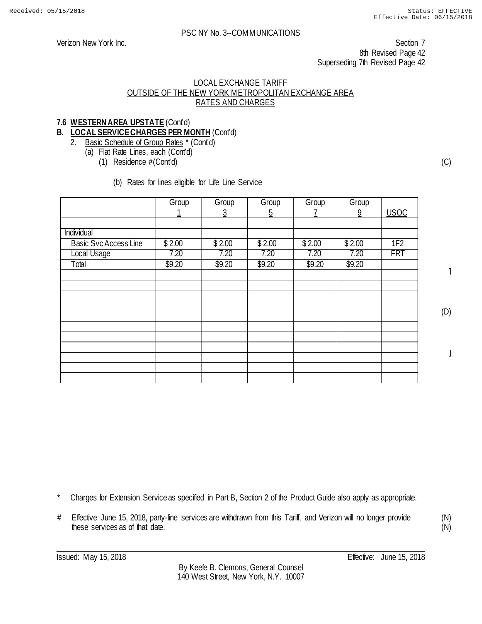Verizon New York Inc. Section 7 8th Revised Page 42 Superseding 7th Revised Page 42

#### LOCAL EXCHANGE TARIFF OUTSIDE OF THE NEW YORK METROPOLITAN EXCHANGE AREA RATES AND CHARGES

## **7.6 WESTERN AREA UPSTATE** (Cont'd)

## **B. LOCAL SERVICE CHARGES PER MONTH** (Cont'd)

## 2. Basic Schedule of Group Rates \* (Cont'd)

- (a) Flat Rate Lines, each (Cont'd)
	- (1) Residence #(Cont'd)

(b) Rates for lines eligible for Life Line Service

|                              | Group  | Group    | Group          | Group  | Group          |                 |
|------------------------------|--------|----------|----------------|--------|----------------|-----------------|
|                              | 1      | <u>3</u> | $\overline{5}$ | T      | $\overline{9}$ | <b>USOC</b>     |
|                              |        |          |                |        |                |                 |
| Individual                   |        |          |                |        |                |                 |
| <b>Basic Svc Access Line</b> | \$2.00 | \$2.00   | \$2.00         | \$2.00 | \$2.00         | 1F <sub>2</sub> |
| Local Usage                  | 7.20   | 7.20     | 7.20           | 7.20   | 7.20           | <b>FRT</b>      |
| Total                        | \$9.20 | \$9.20   | \$9.20         | \$9.20 | \$9.20         |                 |
|                              |        |          |                |        |                |                 |
|                              |        |          |                |        |                |                 |
|                              |        |          |                |        |                |                 |
|                              |        |          |                |        |                |                 |
|                              |        |          |                |        |                |                 |
|                              |        |          |                |        |                |                 |
|                              |        |          |                |        |                |                 |
|                              |        |          |                |        |                |                 |
|                              |        |          |                |        |                |                 |
|                              |        |          |                |        |                |                 |
|                              |        |          |                |        |                |                 |

(C)

˥

(D)

 $\perp$ 

Charges for Extension Service as specified in Part B, Section 2 of the Product Guide also apply as appropriate.

# Effective June 15, 2018, party-line services are withdrawn from this Tariff, and Verizon will no longer provide these services as of that date.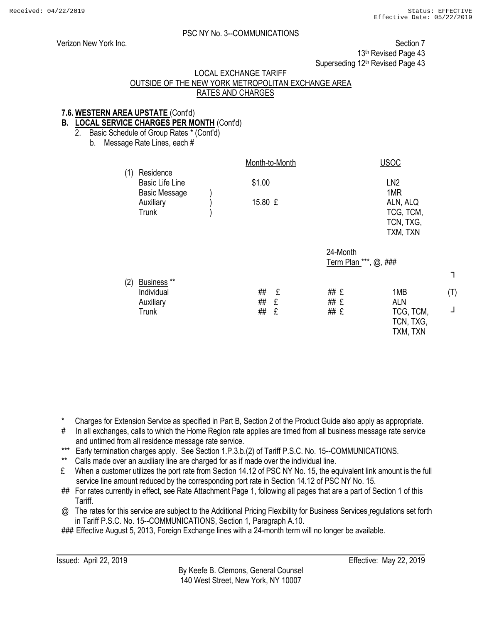┐

(T)

┘

#### PSC NY No. 3--COMMUNICATIONS

Verizon New York Inc. **Section 7** New York Inc. Section 7 13<sup>th</sup> Revised Page 43 Superseding 12<sup>th</sup> Revised Page 43

#### LOCAL EXCHANGE TARIFF

## OUTSIDE OF THE NEW YORK METROPOLITAN EXCHANGE AREA RATES AND CHARGES

## **7.6. WESTERN AREA UPSTATE** (Cont'd)

## **B. LOCAL SERVICE CHARGES PER MONTH** (Cont'd)

2. Basic Schedule of Group Rates \* (Cont'd)

b. Message Rate Lines, each #

|     |                                                                   | Month-to-Month                | <b>USOC</b>                                                                     |
|-----|-------------------------------------------------------------------|-------------------------------|---------------------------------------------------------------------------------|
| (1) | Residence<br><b>Basic Life Line</b><br><b>Basic Message</b>       | \$1.00                        | LN <sub>2</sub><br>1MR                                                          |
|     | Auxiliary<br><b>Trunk</b>                                         | 15.80 £                       | ALN, ALQ<br>TCG, TCM,<br>TCN, TXG,                                              |
|     |                                                                   |                               | TXM, TXN                                                                        |
|     |                                                                   |                               | 24-Month<br>Term Plan ***, @, ###                                               |
| (2) | Business <sup>**</sup><br>Individual<br>Auxiliary<br><b>Trunk</b> | ##<br>£<br>##<br>£<br>##<br>£ | ## £<br>1MB<br>## £<br><b>ALN</b><br>## £<br>TCG, TCM,<br>TCN, TXG,<br>TXM, TXN |

\* Charges for Extension Service as specified in Part B, Section 2 of the Product Guide also apply as appropriate.

- # In all exchanges, calls to which the Home Region rate applies are timed from all business message rate service and untimed from all residence message rate service.
- \*\*\* Early termination charges apply. See Section 1.P.3.b.(2) of Tariff P.S.C. No. 15--COMMUNICATIONS.
- Calls made over an auxiliary line are charged for as if made over the individual line.
- £ When a customer utilizes the port rate from Section 14.12 of PSC NY No. 15, the equivalent link amount is the full service line amount reduced by the corresponding port rate in Section 14.12 of PSC NY No. 15.
- ## For rates currently in effect, see Rate Attachment Page 1, following all pages that are a part of Section 1 of this Tariff.
- @ The rates for this service are subject to the Additional Pricing Flexibility for Business Services regulations set forth in Tariff P.S.C. No. 15--COMMUNICATIONS, Section 1, Paragraph A.10.

### Effective August 5, 2013, Foreign Exchange lines with a 24-month term will no longer be available.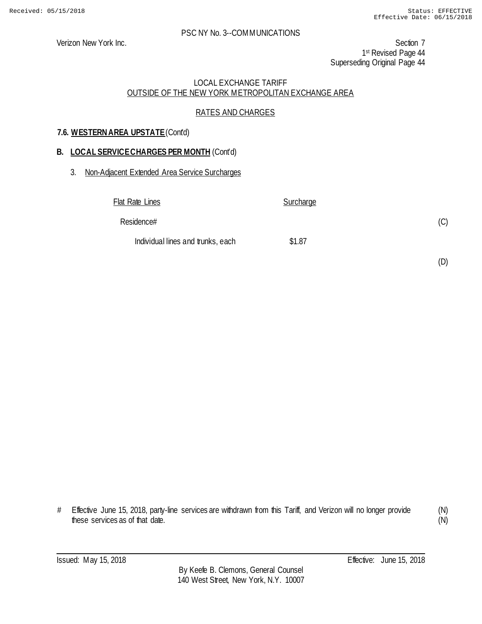Verizon New York Inc. Section 7 1st Revised Page 44 Superseding Original Page 44

## LOCAL EXCHANGE TARIFF OUTSIDE OF THE NEW YORK METROPOLITAN EXCHANGE AREA

## RATES AND CHARGES

## **7.6. WESTERN AREA UPSTATE** (Cont'd)

#### **B. LOCAL SERVICE CHARGES PER MONTH** (Cont'd)

#### 3. Non-Adjacent Extended Area Service Surcharges

| Flat Rate Lines                   | <b>Surcharge</b> |     |
|-----------------------------------|------------------|-----|
| Residence#                        |                  | (C) |
| Individual lines and trunks, each | \$1.87           |     |

(D)

# Effective June 15, 2018, party-line services are withdrawn from this Tariff, and Verizon will no longer provide these services as of that date.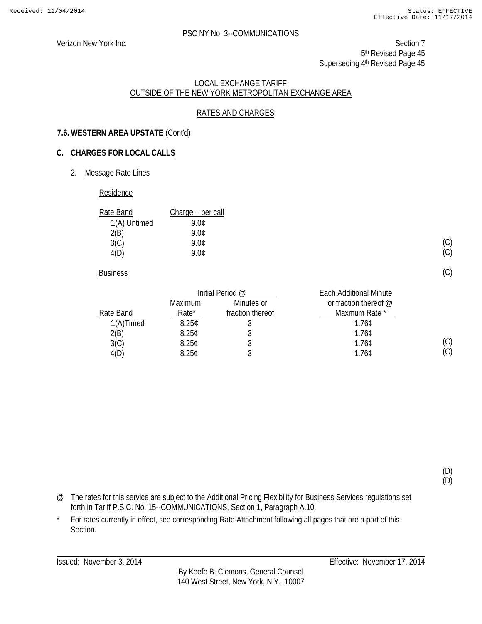Verizon New York Inc. Section 7 5<sup>th</sup> Revised Page 45 Superseding 4<sup>th</sup> Revised Page 45

#### LOCAL EXCHANGE TARIFF OUTSIDE OF THE NEW YORK METROPOLITAN EXCHANGE AREA

## RATES AND CHARGES

## **7.6. WESTERN AREA UPSTATE** (Cont'd)

## **C. CHARGES FOR LOCAL CALLS**

2. Message Rate Lines

#### Residence

| Rate Band    | Charge – per call |
|--------------|-------------------|
| 1(A) Untimed | 9.NC              |
| 2(B)         | 9 NC              |
| 3(C)         | 9.0¢              |
| 4(D)         | ዓ በ¢              |

**Business** 

|           | Initial Period @  |                  | <b>Each Additional Minute</b> |
|-----------|-------------------|------------------|-------------------------------|
|           | <b>Maximum</b>    | Minutes or       | or fraction thereof $@$       |
| Rate Band | Rate*             | fraction thereof | Maxmum Rate *                 |
| 1(A)Timed | 8.25 <sub>c</sub> |                  | 1.760                         |
| 2(B)      | 8.25C             |                  | 1.76C                         |
| 3(C)      | 8.25C             |                  | 1.76C                         |
| 4(D)      | 8.25C             |                  | 1.76C                         |

(D) (D)

(C) (C)

(C)

(C)  $(C)$ 

- @ The rates for this service are subject to the Additional Pricing Flexibility for Business Services regulations set forth in Tariff P.S.C. No. 15--COMMUNICATIONS, Section 1, Paragraph A.10.
- \* For rates currently in effect, see corresponding Rate Attachment following all pages that are a part of this Section.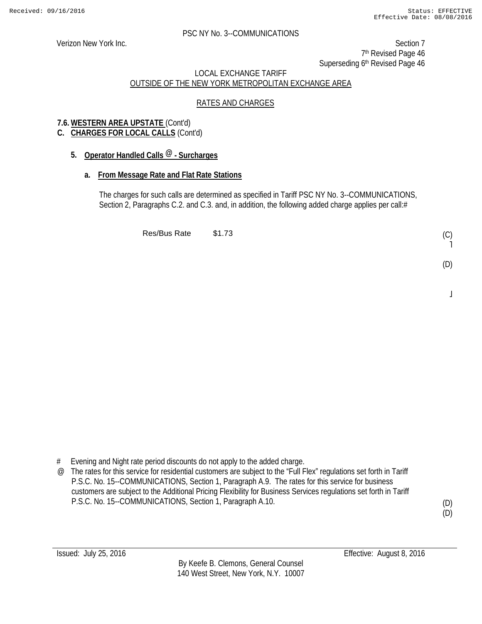Verizon New York Inc. Section 7 7<sup>th</sup> Revised Page 46 Superseding 6<sup>th</sup> Revised Page 46

## LOCAL EXCHANGE TARIFF OUTSIDE OF THE NEW YORK METROPOLITAN EXCHANGE AREA

## RATES AND CHARGES

## **7.6. WESTERN AREA UPSTATE** (Cont'd)

## **C. CHARGES FOR LOCAL CALLS** (Cont'd)

## **5. Operator Handled Calls @ - Surcharges**

## **a. From Message Rate and Flat Rate Stations**

The charges for such calls are determined as specified in Tariff PSC NY No. 3--COMMUNICATIONS, Section 2, Paragraphs C.2. and C.3. and, in addition, the following added charge applies per call:#

Res/Bus Rate \$1.73

# Evening and Night rate period discounts do not apply to the added charge.

@ The rates for this service for residential customers are subject to the "Full Flex" regulations set forth in Tariff P.S.C. No. 15--COMMUNICATIONS, Section 1, Paragraph A.9. The rates for this service for business customers are subject to the Additional Pricing Flexibility for Business Services regulations set forth in Tariff P.S.C. No. 15--COMMUNICATIONS, Section 1, Paragraph A.10.

(D) (D)

(C) ˥

(D)

 $\overline{a}$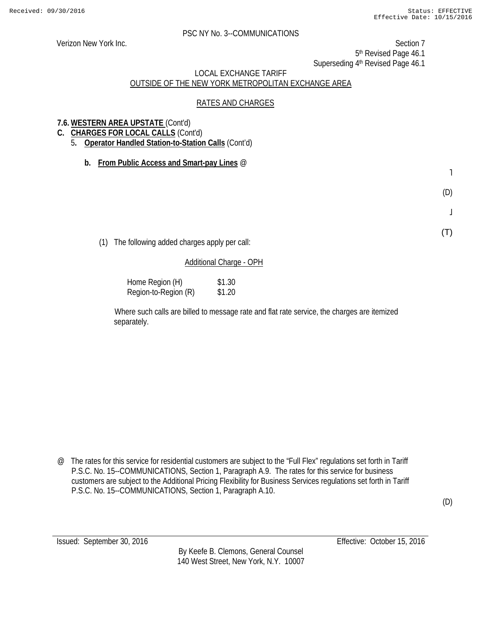Verizon New York Inc. Section 7 5th Revised Page 46.1

Superseding 4<sup>th</sup> Revised Page 46.1

## LOCAL EXCHANGE TARIFF OUTSIDE OF THE NEW YORK METROPOLITAN EXCHANGE AREA

## RATES AND CHARGES

## **7.6. WESTERN AREA UPSTATE** (Cont'd)

- **C. CHARGES FOR LOCAL CALLS** (Cont'd)
	- 5**. Operator Handled Station-to-Station Calls** (Cont'd)
		- **b. From Public Access and Smart-pay Lines** @

˥

(D)

 $\bf \bf j$ 

(T)

(D)

(1) The following added charges apply per call:

## Additional Charge - OPH

Home Region (H) \$1.30 Region-to-Region (R) \$1.20

Where such calls are billed to message rate and flat rate service, the charges are itemized separately.

@ The rates for this service for residential customers are subject to the "Full Flex" regulations set forth in Tariff P.S.C. No. 15--COMMUNICATIONS, Section 1, Paragraph A.9. The rates for this service for business customers are subject to the Additional Pricing Flexibility for Business Services regulations set forth in Tariff P.S.C. No. 15--COMMUNICATIONS, Section 1, Paragraph A.10.

By Keefe B. Clemons, General Counsel 140 West Street, New York, N.Y. 10007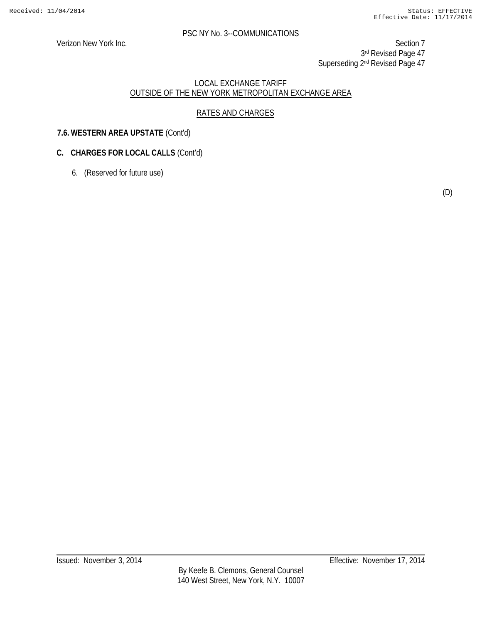Verizon New York Inc. Section 7 3rd Revised Page 47 Superseding 2<sup>nd</sup> Revised Page 47

## LOCAL EXCHANGE TARIFF OUTSIDE OF THE NEW YORK METROPOLITAN EXCHANGE AREA

## RATES AND CHARGES

## **7.6. WESTERN AREA UPSTATE** (Cont'd)

## **C. CHARGES FOR LOCAL CALLS** (Cont'd)

6. (Reserved for future use)